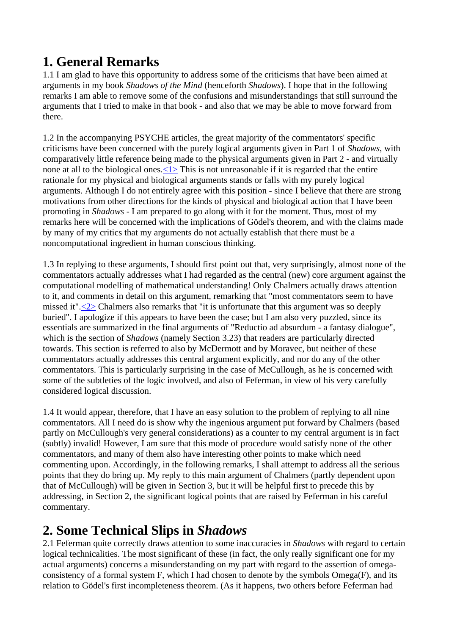# **1. General Remarks**

1.1 I am glad to have this opportunity to address some of the criticisms that have been aimed at arguments in my book *Shadows of the Mind* (henceforth *Shadows*). I hope that in the following remarks I am able to remove some of the confusions and misunderstandings that still surround the arguments that I tried to make in that book - and also that we may be able to move forward from there.

1.2 In the accompanying PSYCHE articles, the great majority of the commentators' specific criticisms have been concerned with the purely logical arguments given in Part 1 of *Shadows*, with comparatively little reference being made to the physical arguments given in Part 2 - and virtually none at all to the biological ones.  $\langle 1 \rangle$  This is not unreasonable if it is regarded that the entire rationale for my physical and biological arguments stands or falls with my purely logical arguments. Although I do not entirely agree with this position - since I believe that there are strong motivations from other directions for the kinds of physical and biological action that I have been promoting in *Shadows* - I am prepared to go along with it for the moment. Thus, most of my remarks here will be concerned with the implications of Gödel's theorem, and with the claims made by many of my critics that my arguments do not actually establish that there must be a noncomputational ingredient in human conscious thinking.

1.3 In replying to these arguments, I should first point out that, very surprisingly, almost none of the commentators actually addresses what I had regarded as the central (new) core argument against the computational modelling of mathematical understanding! Only Chalmers actually draws attention to it, and comments in detail on this argument, remarking that "most commentators seem to have missed it".<2> Chalmers also remarks that "it is unfortunate that this argument was so deeply buried". I apologize if this appears to have been the case; but I am also very puzzled, since its essentials are summarized in the final arguments of "Reductio ad absurdum - a fantasy dialogue", which is the section of *Shadows* (namely Section 3.23) that readers are particularly directed towards. This section is referred to also by McDermott and by Moravec, but neither of these commentators actually addresses this central argument explicitly, and nor do any of the other commentators. This is particularly surprising in the case of McCullough, as he is concerned with some of the subtleties of the logic involved, and also of Feferman, in view of his very carefully considered logical discussion.

1.4 It would appear, therefore, that I have an easy solution to the problem of replying to all nine commentators. All I need do is show why the ingenious argument put forward by Chalmers (based partly on McCullough's very general considerations) as a counter to my central argument is in fact (subtly) invalid! However, I am sure that this mode of procedure would satisfy none of the other commentators, and many of them also have interesting other points to make which need commenting upon. Accordingly, in the following remarks, I shall attempt to address all the serious points that they do bring up. My reply to this main argument of Chalmers (partly dependent upon that of McCullough) will be given in Section 3, but it will be helpful first to precede this by addressing, in Section 2, the significant logical points that are raised by Feferman in his careful commentary.

# **2. Some Technical Slips in** *Shadows*

2.1 Feferman quite correctly draws attention to some inaccuracies in *Shadows* with regard to certain logical technicalities. The most significant of these (in fact, the only really significant one for my actual arguments) concerns a misunderstanding on my part with regard to the assertion of omegaconsistency of a formal system F, which I had chosen to denote by the symbols Omega(F), and its relation to Gödel's first incompleteness theorem. (As it happens, two others before Feferman had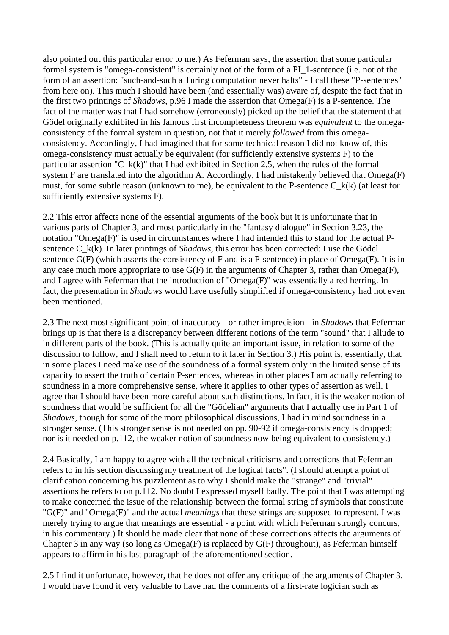also pointed out this particular error to me.) As Feferman says, the assertion that some particular formal system is "omega-consistent" is certainly not of the form of a PI\_1-sentence (i.e. not of the form of an assertion: "such-and-such a Turing computation never halts" - I call these "P-sentences" from here on). This much I should have been (and essentially was) aware of, despite the fact that in the first two printings of *Shadows*, p.96 I made the assertion that Omega(F) is a P-sentence. The fact of the matter was that I had somehow (erroneously) picked up the belief that the statement that Gödel originally exhibited in his famous first incompleteness theorem was *equivalent* to the omegaconsistency of the formal system in question, not that it merely *followed* from this omegaconsistency. Accordingly, I had imagined that for some technical reason I did not know of, this omega-consistency must actually be equivalent (for sufficiently extensive systems F) to the particular assertion "C\_k(k)" that I had exhibited in Section 2.5, when the rules of the formal system F are translated into the algorithm A. Accordingly, I had mistakenly believed that Omega(F) must, for some subtle reason (unknown to me), be equivalent to the P-sentence C\_k(k) (at least for sufficiently extensive systems F).

2.2 This error affects none of the essential arguments of the book but it is unfortunate that in various parts of Chapter 3, and most particularly in the "fantasy dialogue" in Section 3.23, the notation "Omega(F)" is used in circumstances where I had intended this to stand for the actual Psentence C\_k(k). In later printings of *Shadows*, this error has been corrected: I use the Gödel sentence G(F) (which asserts the consistency of F and is a P-sentence) in place of Omega(F). It is in any case much more appropriate to use  $G(F)$  in the arguments of Chapter 3, rather than Omega $(F)$ , and I agree with Feferman that the introduction of "Omega(F)" was essentially a red herring. In fact, the presentation in *Shadows* would have usefully simplified if omega-consistency had not even been mentioned.

2.3 The next most significant point of inaccuracy - or rather imprecision - in *Shadows* that Feferman brings up is that there is a discrepancy between different notions of the term "sound" that I allude to in different parts of the book. (This is actually quite an important issue, in relation to some of the discussion to follow, and I shall need to return to it later in Section 3.) His point is, essentially, that in some places I need make use of the soundness of a formal system only in the limited sense of its capacity to assert the truth of certain P-sentences, whereas in other places I am actually referring to soundness in a more comprehensive sense, where it applies to other types of assertion as well. I agree that I should have been more careful about such distinctions. In fact, it is the weaker notion of soundness that would be sufficient for all the "Gödelian" arguments that I actually use in Part 1 of *Shadows*, though for some of the more philosophical discussions, I had in mind soundness in a stronger sense. (This stronger sense is not needed on pp. 90-92 if omega-consistency is dropped; nor is it needed on p.112, the weaker notion of soundness now being equivalent to consistency.)

2.4 Basically, I am happy to agree with all the technical criticisms and corrections that Feferman refers to in his section discussing my treatment of the logical facts". (I should attempt a point of clarification concerning his puzzlement as to why I should make the "strange" and "trivial" assertions he refers to on p.112. No doubt I expressed myself badly. The point that I was attempting to make concerned the issue of the relationship between the formal string of symbols that constitute "G(F)" and "Omega(F)" and the actual *meanings* that these strings are supposed to represent. I was merely trying to argue that meanings are essential - a point with which Feferman strongly concurs, in his commentary.) It should be made clear that none of these corrections affects the arguments of Chapter 3 in any way (so long as Omega(F) is replaced by G(F) throughout), as Feferman himself appears to affirm in his last paragraph of the aforementioned section.

2.5 I find it unfortunate, however, that he does not offer any critique of the arguments of Chapter 3. I would have found it very valuable to have had the comments of a first-rate logician such as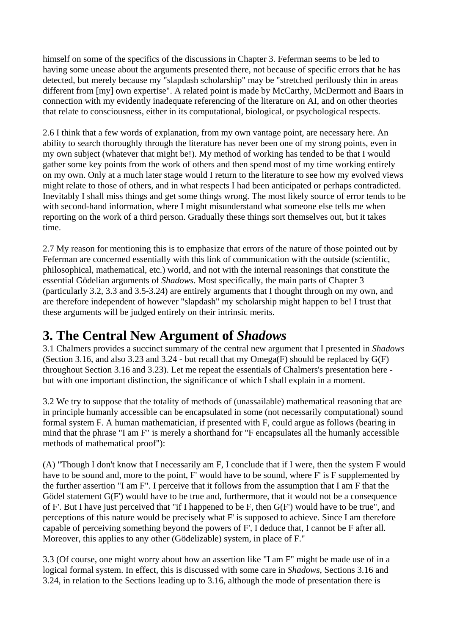himself on some of the specifics of the discussions in Chapter 3. Feferman seems to be led to having some unease about the arguments presented there, not because of specific errors that he has detected, but merely because my "slapdash scholarship" may be "stretched perilously thin in areas different from [my] own expertise". A related point is made by McCarthy, McDermott and Baars in connection with my evidently inadequate referencing of the literature on AI, and on other theories that relate to consciousness, either in its computational, biological, or psychological respects.

2.6 I think that a few words of explanation, from my own vantage point, are necessary here. An ability to search thoroughly through the literature has never been one of my strong points, even in my own subject (whatever that might be!). My method of working has tended to be that I would gather some key points from the work of others and then spend most of my time working entirely on my own. Only at a much later stage would I return to the literature to see how my evolved views might relate to those of others, and in what respects I had been anticipated or perhaps contradicted. Inevitably I shall miss things and get some things wrong. The most likely source of error tends to be with second-hand information, where I might misunderstand what someone else tells me when reporting on the work of a third person. Gradually these things sort themselves out, but it takes time.

2.7 My reason for mentioning this is to emphasize that errors of the nature of those pointed out by Feferman are concerned essentially with this link of communication with the outside (scientific, philosophical, mathematical, etc.) world, and not with the internal reasonings that constitute the essential Gödelian arguments of *Shadows*. Most specifically, the main parts of Chapter 3 (particularly 3.2, 3.3 and 3.5-3.24) are entirely arguments that I thought through on my own, and are therefore independent of however "slapdash" my scholarship might happen to be! I trust that these arguments will be judged entirely on their intrinsic merits.

#### **3. The Central New Argument of** *Shadows*

3.1 Chalmers provides a succinct summary of the central new argument that I presented in *Shadows* (Section 3.16, and also 3.23 and 3.24 - but recall that my Omega(F) should be replaced by  $G(F)$ throughout Section 3.16 and 3.23). Let me repeat the essentials of Chalmers's presentation here but with one important distinction, the significance of which I shall explain in a moment.

3.2 We try to suppose that the totality of methods of (unassailable) mathematical reasoning that are in principle humanly accessible can be encapsulated in some (not necessarily computational) sound formal system F. A human mathematician, if presented with F, could argue as follows (bearing in mind that the phrase "I am F" is merely a shorthand for "F encapsulates all the humanly accessible methods of mathematical proof"):

(A) "Though I don't know that I necessarily am F, I conclude that if I were, then the system F would have to be sound and, more to the point, F' would have to be sound, where F' is F supplemented by the further assertion "I am F". I perceive that it follows from the assumption that I am F that the Gödel statement G(F') would have to be true and, furthermore, that it would not be a consequence of F'. But I have just perceived that "if I happened to be F, then G(F') would have to be true", and perceptions of this nature would be precisely what F' is supposed to achieve. Since I am therefore capable of perceiving something beyond the powers of F', I deduce that, I cannot be F after all. Moreover, this applies to any other (Gödelizable) system, in place of F."

3.3 (Of course, one might worry about how an assertion like "I am F" might be made use of in a logical formal system. In effect, this is discussed with some care in *Shadows*, Sections 3.16 and 3.24, in relation to the Sections leading up to 3.16, although the mode of presentation there is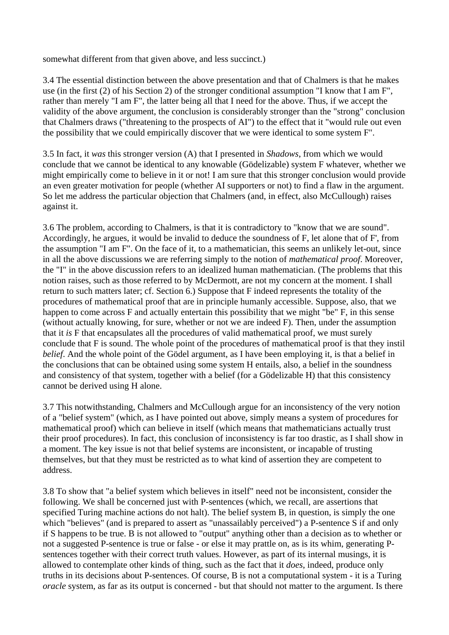somewhat different from that given above, and less succinct.)

3.4 The essential distinction between the above presentation and that of Chalmers is that he makes use (in the first (2) of his Section 2) of the stronger conditional assumption "I know that I am F", rather than merely "I am F", the latter being all that I need for the above. Thus, if we accept the validity of the above argument, the conclusion is considerably stronger than the "strong" conclusion that Chalmers draws ("threatening to the prospects of AI") to the effect that it "would rule out even the possibility that we could empirically discover that we were identical to some system F".

3.5 In fact, it *was* this stronger version (A) that I presented in *Shadows*, from which we would conclude that we cannot be identical to any knowable (Gödelizable) system F whatever, whether we might empirically come to believe in it or not! I am sure that this stronger conclusion would provide an even greater motivation for people (whether AI supporters or not) to find a flaw in the argument. So let me address the particular objection that Chalmers (and, in effect, also McCullough) raises against it.

3.6 The problem, according to Chalmers, is that it is contradictory to "know that we are sound". Accordingly, he argues, it would be invalid to deduce the soundness of F, let alone that of F', from the assumption "I am F". On the face of it, to a mathematician, this seems an unlikely let-out, since in all the above discussions we are referring simply to the notion of *mathematical proof*. Moreover, the "I" in the above discussion refers to an idealized human mathematician. (The problems that this notion raises, such as those referred to by McDermott, are not my concern at the moment. I shall return to such matters later; cf. Section 6.) Suppose that F indeed represents the totality of the procedures of mathematical proof that are in principle humanly accessible. Suppose, also, that we happen to come across F and actually entertain this possibility that we might "be" F, in this sense (without actually knowing, for sure, whether or not we are indeed F). Then, under the assumption that it *is* F that encapsulates all the procedures of valid mathematical proof, we must surely conclude that F is sound. The whole point of the procedures of mathematical proof is that they instil *belief*. And the whole point of the Gödel argument, as I have been employing it, is that a belief in the conclusions that can be obtained using some system H entails, also, a belief in the soundness and consistency of that system, together with a belief (for a Gödelizable H) that this consistency cannot be derived using H alone.

3.7 This notwithstanding, Chalmers and McCullough argue for an inconsistency of the very notion of a "belief system" (which, as I have pointed out above, simply means a system of procedures for mathematical proof) which can believe in itself (which means that mathematicians actually trust their proof procedures). In fact, this conclusion of inconsistency is far too drastic, as I shall show in a moment. The key issue is not that belief systems are inconsistent, or incapable of trusting themselves, but that they must be restricted as to what kind of assertion they are competent to address.

3.8 To show that "a belief system which believes in itself" need not be inconsistent, consider the following. We shall be concerned just with P-sentences (which, we recall, are assertions that specified Turing machine actions do not halt). The belief system B, in question, is simply the one which "believes" (and is prepared to assert as "unassailably perceived") a P-sentence S if and only if S happens to be true. B is not allowed to "output" anything other than a decision as to whether or not a suggested P-sentence is true or false - or else it may prattle on, as is its whim, generating Psentences together with their correct truth values. However, as part of its internal musings, it is allowed to contemplate other kinds of thing, such as the fact that it *does*, indeed, produce only truths in its decisions about P-sentences. Of course, B is not a computational system - it is a Turing *oracle* system, as far as its output is concerned - but that should not matter to the argument. Is there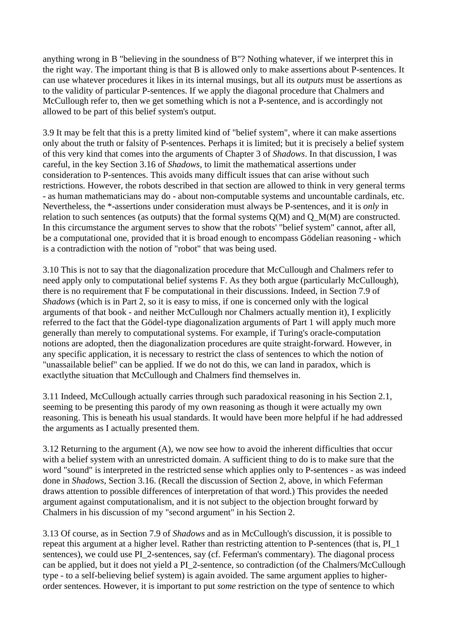anything wrong in B "believing in the soundness of B"? Nothing whatever, if we interpret this in the right way. The important thing is that B is allowed only to make assertions about P-sentences. It can use whatever procedures it likes in its internal musings, but all its *outputs* must be assertions as to the validity of particular P-sentences. If we apply the diagonal procedure that Chalmers and McCullough refer to, then we get something which is not a P-sentence, and is accordingly not allowed to be part of this belief system's output.

3.9 It may be felt that this is a pretty limited kind of "belief system", where it can make assertions only about the truth or falsity of P-sentences. Perhaps it is limited; but it is precisely a belief system of this very kind that comes into the arguments of Chapter 3 of *Shadows*. In that discussion, I was careful, in the key Section 3.16 of *Shadows*, to limit the mathematical assertions under consideration to P-sentences. This avoids many difficult issues that can arise without such restrictions. However, the robots described in that section are allowed to think in very general terms - as human mathematicians may do - about non-computable systems and uncountable cardinals, etc. Nevertheless, the \*-assertions under consideration must always be P-sentences, and it is *only* in relation to such sentences (as outputs) that the formal systems Q(M) and Q\_M(M) are constructed. In this circumstance the argument serves to show that the robots' "belief system" cannot, after all, be a computational one, provided that it is broad enough to encompass Gödelian reasoning - which is a contradiction with the notion of "robot" that was being used.

3.10 This is not to say that the diagonalization procedure that McCullough and Chalmers refer to need apply only to computational belief systems F. As they both argue (particularly McCullough), there is no requirement that F be computational in their discussions. Indeed, in Section 7.9 of *Shadows* (which is in Part 2, so it is easy to miss, if one is concerned only with the logical arguments of that book - and neither McCullough nor Chalmers actually mention it), I explicitly referred to the fact that the Gödel-type diagonalization arguments of Part 1 will apply much more generally than merely to computational systems. For example, if Turing's oracle-computation notions are adopted, then the diagonalization procedures are quite straight-forward. However, in any specific application, it is necessary to restrict the class of sentences to which the notion of "unassailable belief" can be applied. If we do not do this, we can land in paradox, which is exactlythe situation that McCullough and Chalmers find themselves in.

3.11 Indeed, McCullough actually carries through such paradoxical reasoning in his Section 2.1, seeming to be presenting this parody of my own reasoning as though it were actually my own reasoning. This is beneath his usual standards. It would have been more helpful if he had addressed the arguments as I actually presented them.

3.12 Returning to the argument (A), we now see how to avoid the inherent difficulties that occur with a belief system with an unrestricted domain. A sufficient thing to do is to make sure that the word "sound" is interpreted in the restricted sense which applies only to P-sentences - as was indeed done in *Shadows*, Section 3.16. (Recall the discussion of Section 2, above, in which Feferman draws attention to possible differences of interpretation of that word.) This provides the needed argument against computationalism, and it is not subject to the objection brought forward by Chalmers in his discussion of my "second argument" in his Section 2.

3.13 Of course, as in Section 7.9 of *Shadows* and as in McCullough's discussion, it is possible to repeat this argument at a higher level. Rather than restricting attention to P-sentences (that is, PI\_1 sentences), we could use PI\_2-sentences, say (cf. Feferman's commentary). The diagonal process can be applied, but it does not yield a PI\_2-sentence, so contradiction (of the Chalmers/McCullough type - to a self-believing belief system) is again avoided. The same argument applies to higherorder sentences. However, it is important to put *some* restriction on the type of sentence to which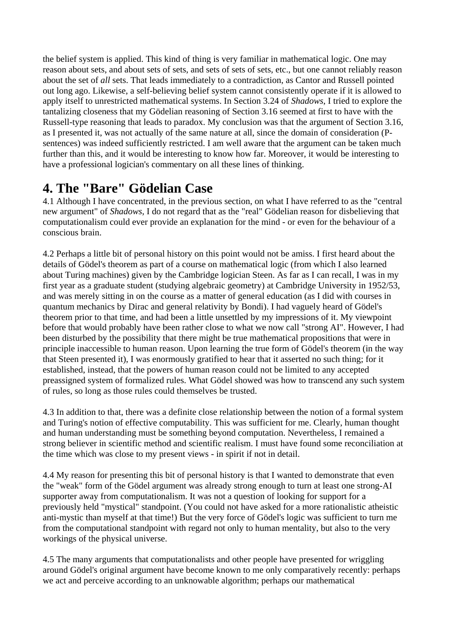the belief system is applied. This kind of thing is very familiar in mathematical logic. One may reason about sets, and about sets of sets, and sets of sets of sets, etc., but one cannot reliably reason about the set of *all* sets. That leads immediately to a contradiction, as Cantor and Russell pointed out long ago. Likewise, a self-believing belief system cannot consistently operate if it is allowed to apply itself to unrestricted mathematical systems. In Section 3.24 of *Shadows*, I tried to explore the tantalizing closeness that my Gödelian reasoning of Section 3.16 seemed at first to have with the Russell-type reasoning that leads to paradox. My conclusion was that the argument of Section 3.16, as I presented it, was not actually of the same nature at all, since the domain of consideration (Psentences) was indeed sufficiently restricted. I am well aware that the argument can be taken much further than this, and it would be interesting to know how far. Moreover, it would be interesting to have a professional logician's commentary on all these lines of thinking.

#### **4. The "Bare" Gödelian Case**

4.1 Although I have concentrated, in the previous section, on what I have referred to as the "central new argument" of *Shadows*, I do not regard that as the "real" Gödelian reason for disbelieving that computationalism could ever provide an explanation for the mind - or even for the behaviour of a conscious brain.

4.2 Perhaps a little bit of personal history on this point would not be amiss. I first heard about the details of Gödel's theorem as part of a course on mathematical logic (from which I also learned about Turing machines) given by the Cambridge logician Steen. As far as I can recall, I was in my first year as a graduate student (studying algebraic geometry) at Cambridge University in 1952/53, and was merely sitting in on the course as a matter of general education (as I did with courses in quantum mechanics by Dirac and general relativity by Bondi). I had vaguely heard of Gödel's theorem prior to that time, and had been a little unsettled by my impressions of it. My viewpoint before that would probably have been rather close to what we now call "strong AI". However, I had been disturbed by the possibility that there might be true mathematical propositions that were in principle inaccessible to human reason. Upon learning the true form of Gödel's theorem (in the way that Steen presented it), I was enormously gratified to hear that it asserted no such thing; for it established, instead, that the powers of human reason could not be limited to any accepted preassigned system of formalized rules. What Gödel showed was how to transcend any such system of rules, so long as those rules could themselves be trusted.

4.3 In addition to that, there was a definite close relationship between the notion of a formal system and Turing's notion of effective computability. This was sufficient for me. Clearly, human thought and human understanding must be something beyond computation. Nevertheless, I remained a strong believer in scientific method and scientific realism. I must have found some reconciliation at the time which was close to my present views - in spirit if not in detail.

4.4 My reason for presenting this bit of personal history is that I wanted to demonstrate that even the "weak" form of the Gödel argument was already strong enough to turn at least one strong-AI supporter away from computationalism. It was not a question of looking for support for a previously held "mystical" standpoint. (You could not have asked for a more rationalistic atheistic anti-mystic than myself at that time!) But the very force of Gödel's logic was sufficient to turn me from the computational standpoint with regard not only to human mentality, but also to the very workings of the physical universe.

4.5 The many arguments that computationalists and other people have presented for wriggling around Gödel's original argument have become known to me only comparatively recently: perhaps we act and perceive according to an unknowable algorithm; perhaps our mathematical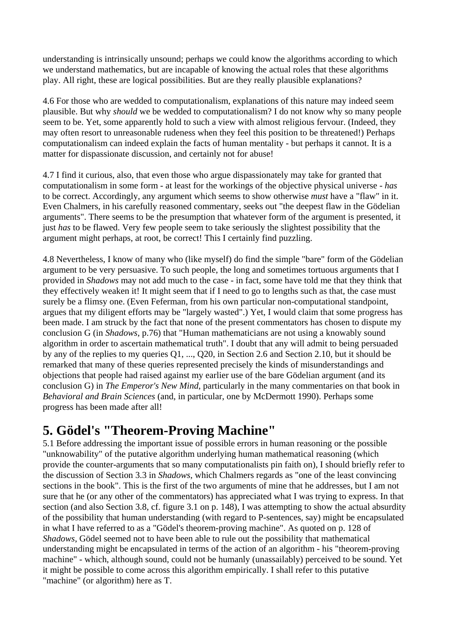understanding is intrinsically unsound; perhaps we could know the algorithms according to which we understand mathematics, but are incapable of knowing the actual roles that these algorithms play. All right, these are logical possibilities. But are they really plausible explanations?

4.6 For those who are wedded to computationalism, explanations of this nature may indeed seem plausible. But why *should* we be wedded to computationalism? I do not know why so many people seem to be. Yet, some apparently hold to such a view with almost religious fervour. (Indeed, they may often resort to unreasonable rudeness when they feel this position to be threatened!) Perhaps computationalism can indeed explain the facts of human mentality - but perhaps it cannot. It is a matter for dispassionate discussion, and certainly not for abuse!

4.7 I find it curious, also, that even those who argue dispassionately may take for granted that computationalism in some form - at least for the workings of the objective physical universe - *has* to be correct. Accordingly, any argument which seems to show otherwise *must* have a "flaw" in it. Even Chalmers, in his carefully reasoned commentary, seeks out "the deepest flaw in the Gödelian arguments". There seems to be the presumption that whatever form of the argument is presented, it just *has* to be flawed. Very few people seem to take seriously the slightest possibility that the argument might perhaps, at root, be correct! This I certainly find puzzling.

4.8 Nevertheless, I know of many who (like myself) do find the simple "bare" form of the Gödelian argument to be very persuasive. To such people, the long and sometimes tortuous arguments that I provided in *Shadows* may not add much to the case - in fact, some have told me that they think that they effectively weaken it! It might seem that if I need to go to lengths such as that, the case must surely be a flimsy one. (Even Feferman, from his own particular non-computational standpoint, argues that my diligent efforts may be "largely wasted".) Yet, I would claim that some progress has been made. I am struck by the fact that none of the present commentators has chosen to dispute my conclusion G (in *Shadows*, p.76) that "Human mathematicians are not using a knowably sound algorithm in order to ascertain mathematical truth". I doubt that any will admit to being persuaded by any of the replies to my queries Q1, ..., Q20, in Section 2.6 and Section 2.10, but it should be remarked that many of these queries represented precisely the kinds of misunderstandings and objections that people had raised against my earlier use of the bare Gödelian argument (and its conclusion G) in *The Emperor's New Mind*, particularly in the many commentaries on that book in *Behavioral and Brain Sciences* (and, in particular, one by McDermott 1990). Perhaps some progress has been made after all!

# **5. Gödel's "Theorem-Proving Machine"**

5.1 Before addressing the important issue of possible errors in human reasoning or the possible "unknowability" of the putative algorithm underlying human mathematical reasoning (which provide the counter-arguments that so many computationalists pin faith on), I should briefly refer to the discussion of Section 3.3 in *Shadows*, which Chalmers regards as "one of the least convincing sections in the book". This is the first of the two arguments of mine that he addresses, but I am not sure that he (or any other of the commentators) has appreciated what I was trying to express. In that section (and also Section 3.8, cf. figure 3.1 on p. 148), I was attempting to show the actual absurdity of the possibility that human understanding (with regard to P-sentences, say) might be encapsulated in what I have referred to as a "Gödel's theorem-proving machine". As quoted on p. 128 of *Shadows*, Gödel seemed not to have been able to rule out the possibility that mathematical understanding might be encapsulated in terms of the action of an algorithm - his "theorem-proving machine" - which, although sound, could not be humanly (unassailably) perceived to be sound. Yet it might be possible to come across this algorithm empirically. I shall refer to this putative "machine" (or algorithm) here as T.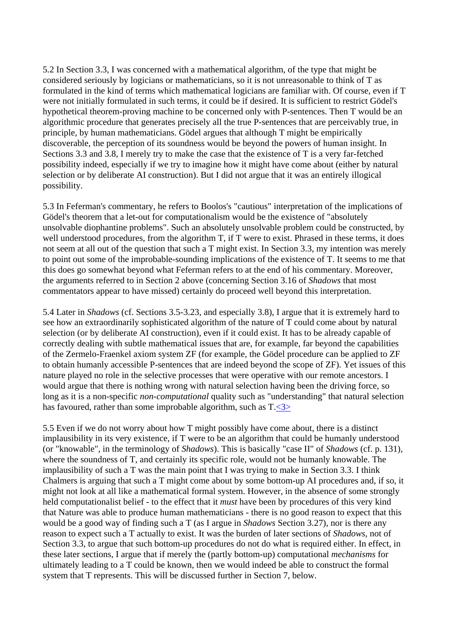5.2 In Section 3.3, I was concerned with a mathematical algorithm, of the type that might be considered seriously by logicians or mathematicians, so it is not unreasonable to think of T as formulated in the kind of terms which mathematical logicians are familiar with. Of course, even if T were not initially formulated in such terms, it could be if desired. It is sufficient to restrict Gödel's hypothetical theorem-proving machine to be concerned only with P-sentences. Then T would be an algorithmic procedure that generates precisely all the true P-sentences that are perceivably true, in principle, by human mathematicians. Gödel argues that although T might be empirically discoverable, the perception of its soundness would be beyond the powers of human insight. In Sections 3.3 and 3.8, I merely try to make the case that the existence of T is a very far-fetched possibility indeed, especially if we try to imagine how it might have come about (either by natural selection or by deliberate AI construction). But I did not argue that it was an entirely illogical possibility.

5.3 In Feferman's commentary, he refers to Boolos's "cautious" interpretation of the implications of Gödel's theorem that a let-out for computationalism would be the existence of "absolutely unsolvable diophantine problems". Such an absolutely unsolvable problem could be constructed, by well understood procedures, from the algorithm T, if T were to exist. Phrased in these terms, it does not seem at all out of the question that such a T might exist. In Section 3.3, my intention was merely to point out some of the improbable-sounding implications of the existence of T. It seems to me that this does go somewhat beyond what Feferman refers to at the end of his commentary. Moreover, the arguments referred to in Section 2 above (concerning Section 3.16 of *Shadows* that most commentators appear to have missed) certainly do proceed well beyond this interpretation.

5.4 Later in *Shadows* (cf. Sections 3.5-3.23, and especially 3.8), I argue that it is extremely hard to see how an extraordinarily sophisticated algorithm of the nature of T could come about by natural selection (or by deliberate AI construction), even if it could exist. It has to be already capable of correctly dealing with subtle mathematical issues that are, for example, far beyond the capabilities of the Zermelo-Fraenkel axiom system ZF (for example, the Gödel procedure can be applied to ZF to obtain humanly accessible P-sentences that are indeed beyond the scope of ZF). Yet issues of this nature played no role in the selective processes that were operative with our remote ancestors. I would argue that there is nothing wrong with natural selection having been the driving force, so long as it is a non-specific *non-computational* quality such as "understanding" that natural selection has favoured, rather than some improbable algorithm, such as  $T<3>$ 

5.5 Even if we do not worry about how T might possibly have come about, there is a distinct implausibility in its very existence, if T were to be an algorithm that could be humanly understood (or "knowable", in the terminology of *Shadows*). This is basically "case II" of *Shadows* (cf. p. 131), where the soundness of T, and certainly its specific role, would not be humanly knowable. The implausibility of such a T was the main point that I was trying to make in Section 3.3. I think Chalmers is arguing that such a T might come about by some bottom-up AI procedures and, if so, it might not look at all like a mathematical formal system. However, in the absence of some strongly held computationalist belief - to the effect that it *must* have been by procedures of this very kind that Nature was able to produce human mathematicians - there is no good reason to expect that this would be a good way of finding such a T (as I argue in *Shadows* Section 3.27), nor is there any reason to expect such a T actually to exist. It was the burden of later sections of *Shadows*, not of Section 3.3, to argue that such bottom-up procedures do not do what is required either. In effect, in these later sections, I argue that if merely the (partly bottom-up) computational *mechanisms* for ultimately leading to a T could be known, then we would indeed be able to construct the formal system that T represents. This will be discussed further in Section 7, below.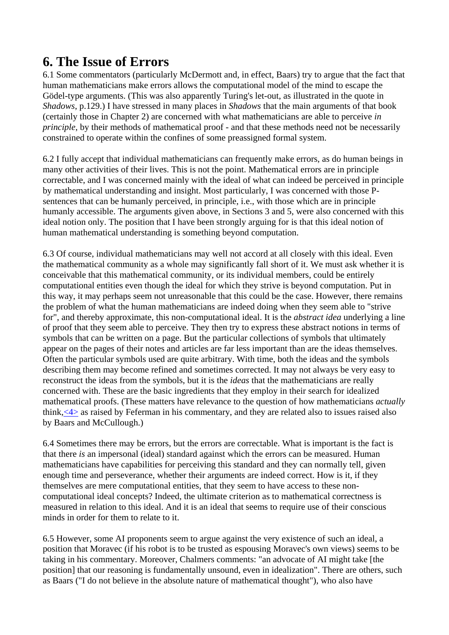# **6. The Issue of Errors**

6.1 Some commentators (particularly McDermott and, in effect, Baars) try to argue that the fact that human mathematicians make errors allows the computational model of the mind to escape the Gödel-type arguments. (This was also apparently Turing's let-out, as illustrated in the quote in *Shadows*, p.129.) I have stressed in many places in *Shadows* that the main arguments of that book (certainly those in Chapter 2) are concerned with what mathematicians are able to perceive *in principle*, by their methods of mathematical proof - and that these methods need not be necessarily constrained to operate within the confines of some preassigned formal system.

6.2 I fully accept that individual mathematicians can frequently make errors, as do human beings in many other activities of their lives. This is not the point. Mathematical errors are in principle correctable, and I was concerned mainly with the ideal of what can indeed be perceived in principle by mathematical understanding and insight. Most particularly, I was concerned with those Psentences that can be humanly perceived, in principle, i.e., with those which are in principle humanly accessible. The arguments given above, in Sections 3 and 5, were also concerned with this ideal notion only. The position that I have been strongly arguing for is that this ideal notion of human mathematical understanding is something beyond computation.

6.3 Of course, individual mathematicians may well not accord at all closely with this ideal. Even the mathematical community as a whole may significantly fall short of it. We must ask whether it is conceivable that this mathematical community, or its individual members, could be entirely computational entities even though the ideal for which they strive is beyond computation. Put in this way, it may perhaps seem not unreasonable that this could be the case. However, there remains the problem of what the human mathematicians are indeed doing when they seem able to "strive for", and thereby approximate, this non-computational ideal. It is the *abstract idea* underlying a line of proof that they seem able to perceive. They then try to express these abstract notions in terms of symbols that can be written on a page. But the particular collections of symbols that ultimately appear on the pages of their notes and articles are far less important than are the ideas themselves. Often the particular symbols used are quite arbitrary. With time, both the ideas and the symbols describing them may become refined and sometimes corrected. It may not always be very easy to reconstruct the ideas from the symbols, but it is the *ideas* that the mathematicians are really concerned with. These are the basic ingredients that they employ in their search for idealized mathematical proofs. (These matters have relevance to the question of how mathematicians *actually* think,<4> as raised by Feferman in his commentary, and they are related also to issues raised also by Baars and McCullough.)

6.4 Sometimes there may be errors, but the errors are correctable. What is important is the fact is that there *is* an impersonal (ideal) standard against which the errors can be measured. Human mathematicians have capabilities for perceiving this standard and they can normally tell, given enough time and perseverance, whether their arguments are indeed correct. How is it, if they themselves are mere computational entities, that they seem to have access to these noncomputational ideal concepts? Indeed, the ultimate criterion as to mathematical correctness is measured in relation to this ideal. And it is an ideal that seems to require use of their conscious minds in order for them to relate to it.

6.5 However, some AI proponents seem to argue against the very existence of such an ideal, a position that Moravec (if his robot is to be trusted as espousing Moravec's own views) seems to be taking in his commentary. Moreover, Chalmers comments: "an advocate of AI might take [the position] that our reasoning is fundamentally unsound, even in idealization". There are others, such as Baars ("I do not believe in the absolute nature of mathematical thought"), who also have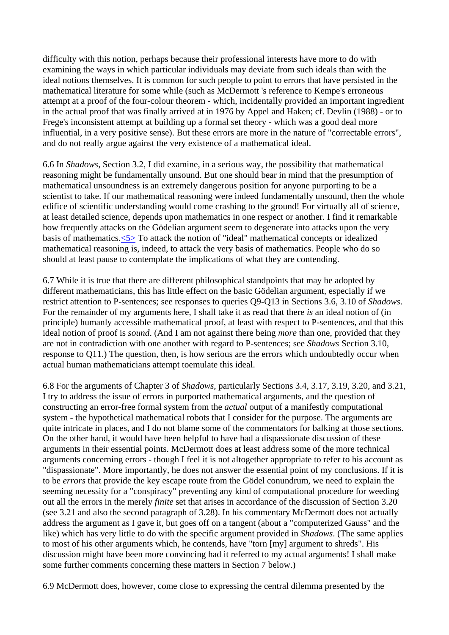difficulty with this notion, perhaps because their professional interests have more to do with examining the ways in which particular individuals may deviate from such ideals than with the ideal notions themselves. It is common for such people to point to errors that have persisted in the mathematical literature for some while (such as McDermott 's reference to Kempe's erroneous attempt at a proof of the four-colour theorem - which, incidentally provided an important ingredient in the actual proof that was finally arrived at in 1976 by Appel and Haken; cf. Devlin (1988) - or to Frege's inconsistent attempt at building up a formal set theory - which was a good deal more influential, in a very positive sense). But these errors are more in the nature of "correctable errors", and do not really argue against the very existence of a mathematical ideal.

6.6 In *Shadows*, Section 3.2, I did examine, in a serious way, the possibility that mathematical reasoning might be fundamentally unsound. But one should bear in mind that the presumption of mathematical unsoundness is an extremely dangerous position for anyone purporting to be a scientist to take. If our mathematical reasoning were indeed fundamentally unsound, then the whole edifice of scientific understanding would come crashing to the ground! For virtually all of science, at least detailed science, depends upon mathematics in one respect or another. I find it remarkable how frequently attacks on the Gödelian argument seem to degenerate into attacks upon the very basis of mathematics.<5> To attack the notion of "ideal" mathematical concepts or idealized mathematical reasoning is, indeed, to attack the very basis of mathematics. People who do so should at least pause to contemplate the implications of what they are contending.

6.7 While it is true that there are different philosophical standpoints that may be adopted by different mathematicians, this has little effect on the basic Gödelian argument, especially if we restrict attention to P-sentences; see responses to queries Q9-Q13 in Sections 3.6, 3.10 of *Shadows*. For the remainder of my arguments here, I shall take it as read that there *is* an ideal notion of (in principle) humanly accessible mathematical proof, at least with respect to P-sentences, and that this ideal notion of proof is *sound*. (And I am not against there being *more* than one, provided that they are not in contradiction with one another with regard to P-sentences; see *Shadows* Section 3.10, response to Q11.) The question, then, is how serious are the errors which undoubtedly occur when actual human mathematicians attempt toemulate this ideal.

6.8 For the arguments of Chapter 3 of *Shadows*, particularly Sections 3.4, 3.17, 3.19, 3.20, and 3.21, I try to address the issue of errors in purported mathematical arguments, and the question of constructing an error-free formal system from the *actual* output of a manifestly computational system - the hypothetical mathematical robots that I consider for the purpose. The arguments are quite intricate in places, and I do not blame some of the commentators for balking at those sections. On the other hand, it would have been helpful to have had a dispassionate discussion of these arguments in their essential points. McDermott does at least address some of the more technical arguments concerning errors - though I feel it is not altogether appropriate to refer to his account as "dispassionate". More importantly, he does not answer the essential point of my conclusions. If it is to be *errors* that provide the key escape route from the Gödel conundrum, we need to explain the seeming necessity for a "conspiracy" preventing any kind of computational procedure for weeding out all the errors in the merely *finite* set that arises in accordance of the discussion of Section 3.20 (see 3.21 and also the second paragraph of 3.28). In his commentary McDermott does not actually address the argument as I gave it, but goes off on a tangent (about a "computerized Gauss" and the like) which has very little to do with the specific argument provided in *Shadows*. (The same applies to most of his other arguments which, he contends, have "torn [my] argument to shreds". His discussion might have been more convincing had it referred to my actual arguments! I shall make some further comments concerning these matters in Section 7 below.)

6.9 McDermott does, however, come close to expressing the central dilemma presented by the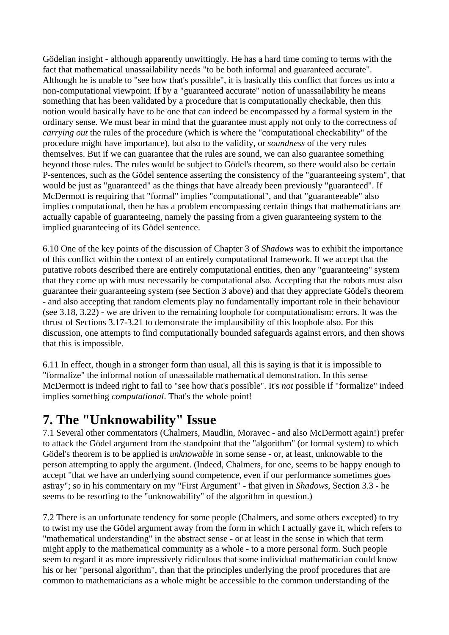Gödelian insight - although apparently unwittingly. He has a hard time coming to terms with the fact that mathematical unassailability needs "to be both informal and guaranteed accurate". Although he is unable to "see how that's possible", it is basically this conflict that forces us into a non-computational viewpoint. If by a "guaranteed accurate" notion of unassailability he means something that has been validated by a procedure that is computationally checkable, then this notion would basically have to be one that can indeed be encompassed by a formal system in the ordinary sense. We must bear in mind that the guarantee must apply not only to the correctness of *carrying out* the rules of the procedure (which is where the "computational checkability" of the procedure might have importance), but also to the validity, or *soundness* of the very rules themselves. But if we can guarantee that the rules are sound, we can also guarantee something beyond those rules. The rules would be subject to Gödel's theorem, so there would also be certain P-sentences, such as the Gödel sentence asserting the consistency of the "guaranteeing system", that would be just as "guaranteed" as the things that have already been previously "guaranteed". If McDermott is requiring that "formal" implies "computational", and that "guaranteeable" also implies computational, then he has a problem encompassing certain things that mathematicians are actually capable of guaranteeing, namely the passing from a given guaranteeing system to the implied guaranteeing of its Gödel sentence.

6.10 One of the key points of the discussion of Chapter 3 of *Shadows* was to exhibit the importance of this conflict within the context of an entirely computational framework. If we accept that the putative robots described there are entirely computational entities, then any "guaranteeing" system that they come up with must necessarily be computational also. Accepting that the robots must also guarantee their guaranteeing system (see Section 3 above) and that they appreciate Gödel's theorem - and also accepting that random elements play no fundamentally important role in their behaviour (see 3.18, 3.22) - we are driven to the remaining loophole for computationalism: errors. It was the thrust of Sections 3.17-3.21 to demonstrate the implausibility of this loophole also. For this discussion, one attempts to find computationally bounded safeguards against errors, and then shows that this is impossible.

6.11 In effect, though in a stronger form than usual, all this is saying is that it is impossible to "formalize" the informal notion of unassailable mathematical demonstration. In this sense McDermott is indeed right to fail to "see how that's possible". It's *not* possible if "formalize" indeed implies something *computational*. That's the whole point!

# **7. The "Unknowability" Issue**

7.1 Several other commentators (Chalmers, Maudlin, Moravec - and also McDermott again!) prefer to attack the Gödel argument from the standpoint that the "algorithm" (or formal system) to which Gödel's theorem is to be applied is *unknowable* in some sense - or, at least, unknowable to the person attempting to apply the argument. (Indeed, Chalmers, for one, seems to be happy enough to accept "that we have an underlying sound competence, even if our performance sometimes goes astray"; so in his commentary on my "First Argument" - that given in *Shadows*, Section 3.3 - he seems to be resorting to the "unknowability" of the algorithm in question.)

7.2 There is an unfortunate tendency for some people (Chalmers, and some others excepted) to try to twist my use the Gödel argument away from the form in which I actually gave it, which refers to "mathematical understanding" in the abstract sense - or at least in the sense in which that term might apply to the mathematical community as a whole - to a more personal form. Such people seem to regard it as more impressively ridiculous that some individual mathematician could know his or her "personal algorithm", than that the principles underlying the proof procedures that are common to mathematicians as a whole might be accessible to the common understanding of the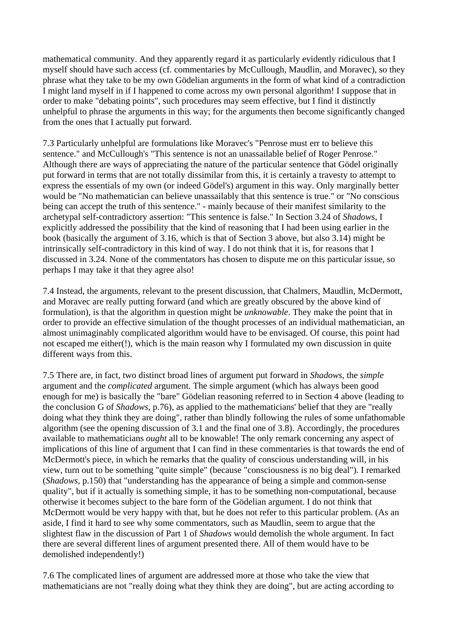mathematical community. And they apparently regard it as particularly evidently ridiculous that I myself should have such access (cf. commentaries by McCullough, Maudlin, and Moravec), so they phrase what they take to be my own Gödelian arguments in the form of what kind of a contradiction I might land myself in if I happened to come across my own personal algorithm! I suppose that in order to make "debating points", such procedures may seem effective, but I find it distinctly unhelpful to phrase the arguments in this way; for the arguments then become significantly changed from the ones that I actually put forward.

7.3 Particularly unhelpful are formulations like Moravec's "Penrose must err to believe this sentence." and McCullough's "This sentence is not an unassailable belief of Roger Penrose." Although there are ways of appreciating the nature of the particular sentence that Gödel originally put forward in terms that are not totally dissimilar from this, it is certainly a travesty to attempt to express the essentials of my own (or indeed Gödel's) argument in this way. Only marginally better would be "No mathematician can believe unassailably that this sentence is true." or "No conscious being can accept the truth of this sentence." - mainly because of their manifest similarity to the archetypal self-contradictory assertion: "This sentence is false." In Section 3.24 of *Shadows*, I explicitly addressed the possibility that the kind of reasoning that I had been using earlier in the book (basically the argument of 3.16, which is that of Section 3 above, but also 3.14) might be intrinsically self-contradictory in this kind of way. I do not think that it is, for reasons that I discussed in 3.24. None of the commentators has chosen to dispute me on this particular issue, so perhaps I may take it that they agree also!

7.4 Instead, the arguments, relevant to the present discussion, that Chalmers, Maudlin, McDermott, and Moravec are really putting forward (and which are greatly obscured by the above kind of formulation), is that the algorithm in question might be *unknowable*. They make the point that in order to provide an effective simulation of the thought processes of an individual mathematician, an almost unimaginably complicated algorithm would have to be envisaged. Of course, this point had not escaped me either(!), which is the main reason why I formulated my own discussion in quite different ways from this.

7.5 There are, in fact, two distinct broad lines of argument put forward in *Shadows*, the *simple* argument and the *complicated* argument. The simple argument (which has always been good enough for me) is basically the "bare" Gödelian reasoning referred to in Section 4 above (leading to the conclusion G of *Shadows*, p.76), as applied to the mathematicians' belief that they are "really doing what they think they are doing", rather than blindly following the rules of some unfathomable algorithm (see the opening discussion of 3.1 and the final one of 3.8). Accordingly, the procedures available to mathematicians *ought* all to be knowable! The only remark concerning any aspect of implications of this line of argument that I can find in these commentaries is that towards the end of McDermott's piece, in which he remarks that the quality of conscious understanding will, in his view, turn out to be something "quite simple" (because "consciousness is no big deal"). I remarked (*Shadows*, p.150) that "understanding has the appearance of being a simple and common-sense quality", but if it actually is something simple, it has to be something non-computational, because otherwise it becomes subject to the bare form of the Gödelian argument. I do not think that McDermott would be very happy with that, but he does not refer to this particular problem. (As an aside, I find it hard to see why some commentators, such as Maudlin, seem to argue that the slightest flaw in the discussion of Part 1 of *Shadows* would demolish the whole argument. In fact there are several different lines of argument presented there. All of them would have to be demolished independently!)

7.6 The complicated lines of argument are addressed more at those who take the view that mathematicians are not "really doing what they think they are doing", but are acting according to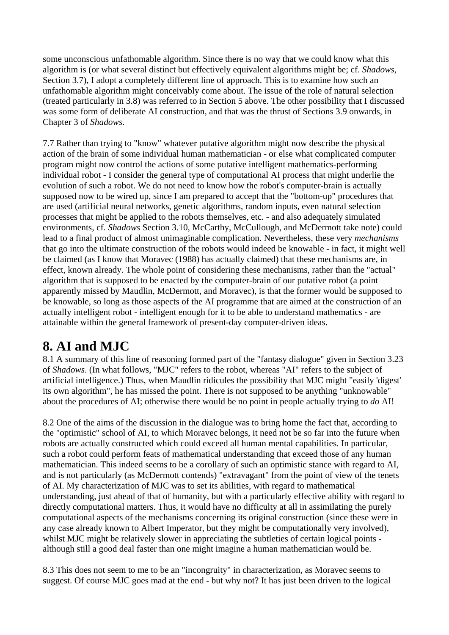some unconscious unfathomable algorithm. Since there is no way that we could know what this algorithm is (or what several distinct but effectively equivalent algorithms might be; cf. *Shadows*, Section 3.7), I adopt a completely different line of approach. This is to examine how such an unfathomable algorithm might conceivably come about. The issue of the role of natural selection (treated particularly in 3.8) was referred to in Section 5 above. The other possibility that I discussed was some form of deliberate AI construction, and that was the thrust of Sections 3.9 onwards, in Chapter 3 of *Shadows*.

7.7 Rather than trying to "know" whatever putative algorithm might now describe the physical action of the brain of some individual human mathematician - or else what complicated computer program might now control the actions of some putative intelligent mathematics-performing individual robot - I consider the general type of computational AI process that might underlie the evolution of such a robot. We do not need to know how the robot's computer-brain is actually supposed now to be wired up, since I am prepared to accept that the "bottom-up" procedures that are used (artificial neural networks, genetic algorithms, random inputs, even natural selection processes that might be applied to the robots themselves, etc. - and also adequately simulated environments, cf. *Shadows* Section 3.10, McCarthy, McCullough, and McDermott take note) could lead to a final product of almost unimaginable complication. Nevertheless, these very *mechanisms* that go into the ultimate construction of the robots would indeed be knowable - in fact, it might well be claimed (as I know that Moravec (1988) has actually claimed) that these mechanisms are, in effect, known already. The whole point of considering these mechanisms, rather than the "actual" algorithm that is supposed to be enacted by the computer-brain of our putative robot (a point apparently missed by Maudlin, McDermott, and Moravec), is that the former would be supposed to be knowable, so long as those aspects of the AI programme that are aimed at the construction of an actually intelligent robot - intelligent enough for it to be able to understand mathematics - are attainable within the general framework of present-day computer-driven ideas.

# **8. AI and MJC**

8.1 A summary of this line of reasoning formed part of the "fantasy dialogue" given in Section 3.23 of *Shadows*. (In what follows, "MJC" refers to the robot, whereas "AI" refers to the subject of artificial intelligence.) Thus, when Maudlin ridicules the possibility that MJC might "easily 'digest' its own algorithm", he has missed the point. There is not supposed to be anything "unknowable" about the procedures of AI; otherwise there would be no point in people actually trying to *do* AI!

8.2 One of the aims of the discussion in the dialogue was to bring home the fact that, according to the "optimistic" school of AI, to which Moravec belongs, it need not be so far into the future when robots are actually constructed which could exceed all human mental capabilities. In particular, such a robot could perform feats of mathematical understanding that exceed those of any human mathematician. This indeed seems to be a corollary of such an optimistic stance with regard to AI, and is not particularly (as McDermott contends) "extravagant" from the point of view of the tenets of AI. My characterization of MJC was to set its abilities, with regard to mathematical understanding, just ahead of that of humanity, but with a particularly effective ability with regard to directly computational matters. Thus, it would have no difficulty at all in assimilating the purely computational aspects of the mechanisms concerning its original construction (since these were in any case already known to Albert Imperator, but they might be computationally very involved), whilst MJC might be relatively slower in appreciating the subtleties of certain logical points although still a good deal faster than one might imagine a human mathematician would be.

8.3 This does not seem to me to be an "incongruity" in characterization, as Moravec seems to suggest. Of course MJC goes mad at the end - but why not? It has just been driven to the logical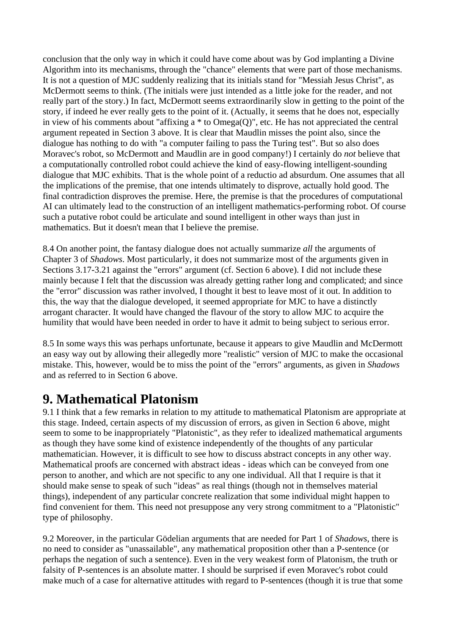conclusion that the only way in which it could have come about was by God implanting a Divine Algorithm into its mechanisms, through the "chance" elements that were part of those mechanisms. It is not a question of MJC suddenly realizing that its initials stand for "Messiah Jesus Christ", as McDermott seems to think. (The initials were just intended as a little joke for the reader, and not really part of the story.) In fact, McDermott seems extraordinarily slow in getting to the point of the story, if indeed he ever really gets to the point of it. (Actually, it seems that he does not, especially in view of his comments about "affixing a \* to Omega(Q)", etc. He has not appreciated the central argument repeated in Section 3 above. It is clear that Maudlin misses the point also, since the dialogue has nothing to do with "a computer failing to pass the Turing test". But so also does Moravec's robot, so McDermott and Maudlin are in good company!) I certainly do *not* believe that a computationally controlled robot could achieve the kind of easy-flowing intelligent-sounding dialogue that MJC exhibits. That is the whole point of a reductio ad absurdum. One assumes that all the implications of the premise, that one intends ultimately to disprove, actually hold good. The final contradiction disproves the premise. Here, the premise is that the procedures of computational AI can ultimately lead to the construction of an intelligent mathematics-performing robot. Of course such a putative robot could be articulate and sound intelligent in other ways than just in mathematics. But it doesn't mean that I believe the premise.

8.4 On another point, the fantasy dialogue does not actually summarize *all* the arguments of Chapter 3 of *Shadows*. Most particularly, it does not summarize most of the arguments given in Sections 3.17-3.21 against the "errors" argument (cf. Section 6 above). I did not include these mainly because I felt that the discussion was already getting rather long and complicated; and since the "error" discussion was rather involved, I thought it best to leave most of it out. In addition to this, the way that the dialogue developed, it seemed appropriate for MJC to have a distinctly arrogant character. It would have changed the flavour of the story to allow MJC to acquire the humility that would have been needed in order to have it admit to being subject to serious error.

8.5 In some ways this was perhaps unfortunate, because it appears to give Maudlin and McDermott an easy way out by allowing their allegedly more "realistic" version of MJC to make the occasional mistake. This, however, would be to miss the point of the "errors" arguments, as given in *Shadows* and as referred to in Section 6 above.

#### **9. Mathematical Platonism**

9.1 I think that a few remarks in relation to my attitude to mathematical Platonism are appropriate at this stage. Indeed, certain aspects of my discussion of errors, as given in Section 6 above, might seem to some to be inappropriately "Platonistic", as they refer to idealized mathematical arguments as though they have some kind of existence independently of the thoughts of any particular mathematician. However, it is difficult to see how to discuss abstract concepts in any other way. Mathematical proofs are concerned with abstract ideas - ideas which can be conveyed from one person to another, and which are not specific to any one individual. All that I require is that it should make sense to speak of such "ideas" as real things (though not in themselves material things), independent of any particular concrete realization that some individual might happen to find convenient for them. This need not presuppose any very strong commitment to a "Platonistic" type of philosophy.

9.2 Moreover, in the particular Gödelian arguments that are needed for Part 1 of *Shadows*, there is no need to consider as "unassailable", any mathematical proposition other than a P-sentence (or perhaps the negation of such a sentence). Even in the very weakest form of Platonism, the truth or falsity of P-sentences is an absolute matter. I should be surprised if even Moravec's robot could make much of a case for alternative attitudes with regard to P-sentences (though it is true that some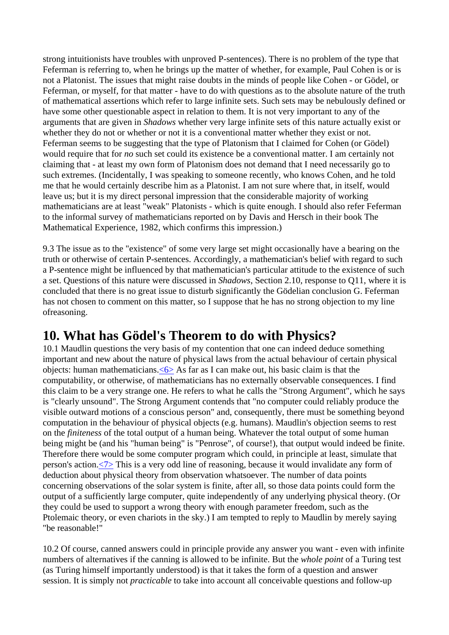strong intuitionists have troubles with unproved P-sentences). There is no problem of the type that Feferman is referring to, when he brings up the matter of whether, for example, Paul Cohen is or is not a Platonist. The issues that might raise doubts in the minds of people like Cohen - or Gödel, or Feferman, or myself, for that matter - have to do with questions as to the absolute nature of the truth of mathematical assertions which refer to large infinite sets. Such sets may be nebulously defined or have some other questionable aspect in relation to them. It is not very important to any of the arguments that are given in *Shadows* whether very large infinite sets of this nature actually exist or whether they do not or whether or not it is a conventional matter whether they exist or not. Feferman seems to be suggesting that the type of Platonism that I claimed for Cohen (or Gödel) would require that for *no* such set could its existence be a conventional matter. I am certainly not claiming that - at least my own form of Platonism does not demand that I need necessarily go to such extremes. (Incidentally, I was speaking to someone recently, who knows Cohen, and he told me that he would certainly describe him as a Platonist. I am not sure where that, in itself, would leave us; but it is my direct personal impression that the considerable majority of working mathematicians are at least "weak" Platonists - which is quite enough. I should also refer Feferman to the informal survey of mathematicians reported on by Davis and Hersch in their book The Mathematical Experience, 1982, which confirms this impression.)

9.3 The issue as to the "existence" of some very large set might occasionally have a bearing on the truth or otherwise of certain P-sentences. Accordingly, a mathematician's belief with regard to such a P-sentence might be influenced by that mathematician's particular attitude to the existence of such a set. Questions of this nature were discussed in *Shadows*, Section 2.10, response to Q11, where it is concluded that there is no great issue to disturb significantly the Gödelian conclusion G. Feferman has not chosen to comment on this matter, so I suppose that he has no strong objection to my line ofreasoning.

#### **10. What has Gödel's Theorem to do with Physics?**

10.1 Maudlin questions the very basis of my contention that one can indeed deduce something important and new about the nature of physical laws from the actual behaviour of certain physical objects: human mathematicians. $\langle 6 \rangle$  As far as I can make out, his basic claim is that the computability, or otherwise, of mathematicians has no externally observable consequences. I find this claim to be a very strange one. He refers to what he calls the "Strong Argument", which he says is "clearly unsound". The Strong Argument contends that "no computer could reliably produce the visible outward motions of a conscious person" and, consequently, there must be something beyond computation in the behaviour of physical objects (e.g. humans). Maudlin's objection seems to rest on the *finiteness* of the total output of a human being. Whatever the total output of some human being might be (and his "human being" is "Penrose", of course!), that output would indeed be finite. Therefore there would be some computer program which could, in principle at least, simulate that person's action.<7> This is a very odd line of reasoning, because it would invalidate any form of deduction about physical theory from observation whatsoever. The number of data points concerning observations of the solar system is finite, after all, so those data points could form the output of a sufficiently large computer, quite independently of any underlying physical theory. (Or they could be used to support a wrong theory with enough parameter freedom, such as the Ptolemaic theory, or even chariots in the sky.) I am tempted to reply to Maudlin by merely saying "be reasonable!"

10.2 Of course, canned answers could in principle provide any answer you want - even with infinite numbers of alternatives if the canning is allowed to be infinite. But the *whole point* of a Turing test (as Turing himself importantly understood) is that it takes the form of a question and answer session. It is simply not *practicable* to take into account all conceivable questions and follow-up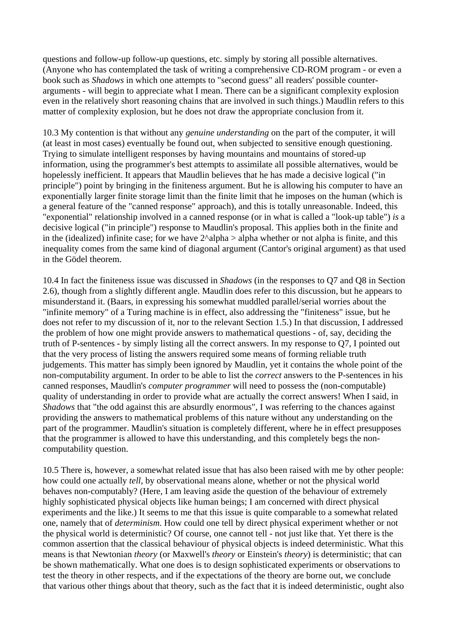questions and follow-up follow-up questions, etc. simply by storing all possible alternatives. (Anyone who has contemplated the task of writing a comprehensive CD-ROM program - or even a book such as *Shadows* in which one attempts to "second guess" all readers' possible counterarguments - will begin to appreciate what I mean. There can be a significant complexity explosion even in the relatively short reasoning chains that are involved in such things.) Maudlin refers to this matter of complexity explosion, but he does not draw the appropriate conclusion from it.

10.3 My contention is that without any *genuine understanding* on the part of the computer, it will (at least in most cases) eventually be found out, when subjected to sensitive enough questioning. Trying to simulate intelligent responses by having mountains and mountains of stored-up information, using the programmer's best attempts to assimilate all possible alternatives, would be hopelessly inefficient. It appears that Maudlin believes that he has made a decisive logical ("in principle") point by bringing in the finiteness argument. But he is allowing his computer to have an exponentially larger finite storage limit than the finite limit that he imposes on the human (which is a general feature of the "canned response" approach), and this is totally unreasonable. Indeed, this "exponential" relationship involved in a canned response (or in what is called a "look-up table") *is* a decisive logical ("in principle") response to Maudlin's proposal. This applies both in the finite and in the (idealized) infinite case; for we have  $2^{\lambda}$ alpha > alpha whether or not alpha is finite, and this inequality comes from the same kind of diagonal argument (Cantor's original argument) as that used in the Gödel theorem.

10.4 In fact the finiteness issue was discussed in *Shadows* (in the responses to Q7 and Q8 in Section 2.6), though from a slightly different angle. Maudlin does refer to this discussion, but he appears to misunderstand it. (Baars, in expressing his somewhat muddled parallel/serial worries about the "infinite memory" of a Turing machine is in effect, also addressing the "finiteness" issue, but he does not refer to my discussion of it, nor to the relevant Section 1.5.) In that discussion, I addressed the problem of how one might provide answers to mathematical questions - of, say, deciding the truth of P-sentences - by simply listing all the correct answers. In my response to Q7, I pointed out that the very process of listing the answers required some means of forming reliable truth judgements. This matter has simply been ignored by Maudlin, yet it contains the whole point of the non-computability argument. In order to be able to list the *correct* answers to the P-sentences in his canned responses, Maudlin's *computer programmer* will need to possess the (non-computable) quality of understanding in order to provide what are actually the correct answers! When I said, in *Shadows* that "the odd against this are absurdly enormous", I was referring to the chances against providing the answers to mathematical problems of this nature without any understanding on the part of the programmer. Maudlin's situation is completely different, where he in effect presupposes that the programmer is allowed to have this understanding, and this completely begs the noncomputability question.

10.5 There is, however, a somewhat related issue that has also been raised with me by other people: how could one actually *tell*, by observational means alone, whether or not the physical world behaves non-computably? (Here, I am leaving aside the question of the behaviour of extremely highly sophisticated physical objects like human beings; I am concerned with direct physical experiments and the like.) It seems to me that this issue is quite comparable to a somewhat related one, namely that of *determinism*. How could one tell by direct physical experiment whether or not the physical world is deterministic? Of course, one cannot tell - not just like that. Yet there is the common assertion that the classical behaviour of physical objects is indeed deterministic. What this means is that Newtonian *theory* (or Maxwell's *theory* or Einstein's *theory*) is deterministic; that can be shown mathematically. What one does is to design sophisticated experiments or observations to test the theory in other respects, and if the expectations of the theory are borne out, we conclude that various other things about that theory, such as the fact that it is indeed deterministic, ought also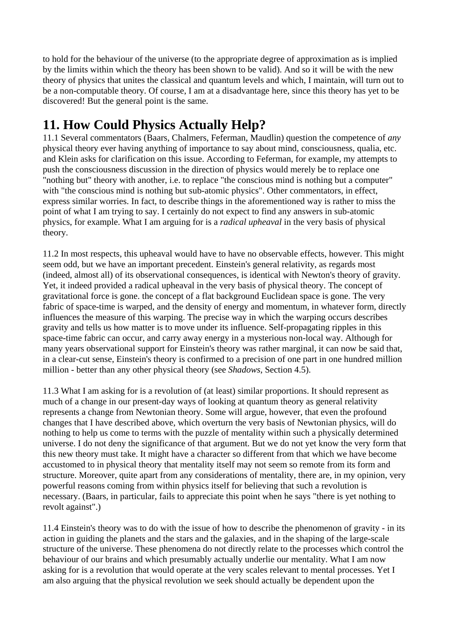to hold for the behaviour of the universe (to the appropriate degree of approximation as is implied by the limits within which the theory has been shown to be valid). And so it will be with the new theory of physics that unites the classical and quantum levels and which, I maintain, will turn out to be a non-computable theory. Of course, I am at a disadvantage here, since this theory has yet to be discovered! But the general point is the same.

# **11. How Could Physics Actually Help?**

11.1 Several commentators (Baars, Chalmers, Feferman, Maudlin) question the competence of *any* physical theory ever having anything of importance to say about mind, consciousness, qualia, etc. and Klein asks for clarification on this issue. According to Feferman, for example, my attempts to push the consciousness discussion in the direction of physics would merely be to replace one "nothing but" theory with another, i.e. to replace "the conscious mind is nothing but a computer" with "the conscious mind is nothing but sub-atomic physics". Other commentators, in effect, express similar worries. In fact, to describe things in the aforementioned way is rather to miss the point of what I am trying to say. I certainly do not expect to find any answers in sub-atomic physics, for example. What I am arguing for is a *radical upheaval* in the very basis of physical theory.

11.2 In most respects, this upheaval would have to have no observable effects, however. This might seem odd, but we have an important precedent. Einstein's general relativity, as regards most (indeed, almost all) of its observational consequences, is identical with Newton's theory of gravity. Yet, it indeed provided a radical upheaval in the very basis of physical theory. The concept of gravitational force is gone. the concept of a flat background Euclidean space is gone. The very fabric of space-time is warped, and the density of energy and momentum, in whatever form, directly influences the measure of this warping. The precise way in which the warping occurs describes gravity and tells us how matter is to move under its influence. Self-propagating ripples in this space-time fabric can occur, and carry away energy in a mysterious non-local way. Although for many years observational support for Einstein's theory was rather marginal, it can now be said that, in a clear-cut sense, Einstein's theory is confirmed to a precision of one part in one hundred million million - better than any other physical theory (see *Shadows*, Section 4.5).

11.3 What I am asking for is a revolution of (at least) similar proportions. It should represent as much of a change in our present-day ways of looking at quantum theory as general relativity represents a change from Newtonian theory. Some will argue, however, that even the profound changes that I have described above, which overturn the very basis of Newtonian physics, will do nothing to help us come to terms with the puzzle of mentality within such a physically determined universe. I do not deny the significance of that argument. But we do not yet know the very form that this new theory must take. It might have a character so different from that which we have become accustomed to in physical theory that mentality itself may not seem so remote from its form and structure. Moreover, quite apart from any considerations of mentality, there are, in my opinion, very powerful reasons coming from within physics itself for believing that such a revolution is necessary. (Baars, in particular, fails to appreciate this point when he says "there is yet nothing to revolt against".)

11.4 Einstein's theory was to do with the issue of how to describe the phenomenon of gravity - in its action in guiding the planets and the stars and the galaxies, and in the shaping of the large-scale structure of the universe. These phenomena do not directly relate to the processes which control the behaviour of our brains and which presumably actually underlie our mentality. What I am now asking for is a revolution that would operate at the very scales relevant to mental processes. Yet I am also arguing that the physical revolution we seek should actually be dependent upon the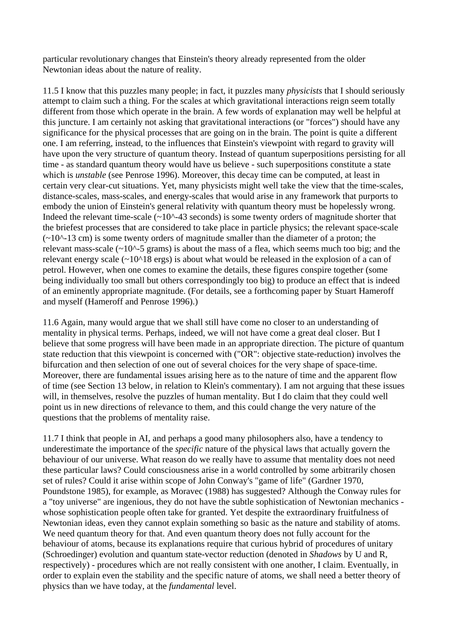particular revolutionary changes that Einstein's theory already represented from the older Newtonian ideas about the nature of reality.

11.5 I know that this puzzles many people; in fact, it puzzles many *physicists* that I should seriously attempt to claim such a thing. For the scales at which gravitational interactions reign seem totally different from those which operate in the brain. A few words of explanation may well be helpful at this juncture. I am certainly not asking that gravitational interactions (or "forces") should have any significance for the physical processes that are going on in the brain. The point is quite a different one. I am referring, instead, to the influences that Einstein's viewpoint with regard to gravity will have upon the very structure of quantum theory. Instead of quantum superpositions persisting for all time - as standard quantum theory would have us believe - such superpositions constitute a state which is *unstable* (see Penrose 1996). Moreover, this decay time can be computed, at least in certain very clear-cut situations. Yet, many physicists might well take the view that the time-scales, distance-scales, mass-scales, and energy-scales that would arise in any framework that purports to embody the union of Einstein's general relativity with quantum theory must be hopelessly wrong. Indeed the relevant time-scale  $(\sim 10^{\circ} - 43$  seconds) is some twenty orders of magnitude shorter that the briefest processes that are considered to take place in particle physics; the relevant space-scale  $(-10<sup>13</sup>$  cm) is some twenty orders of magnitude smaller than the diameter of a proton; the relevant mass-scale  $(\sim 10^{\circ} - 5$  grams) is about the mass of a flea, which seems much too big; and the relevant energy scale (~10^18 ergs) is about what would be released in the explosion of a can of petrol. However, when one comes to examine the details, these figures conspire together (some being individually too small but others correspondingly too big) to produce an effect that is indeed of an eminently appropriate magnitude. (For details, see a forthcoming paper by Stuart Hameroff and myself (Hameroff and Penrose 1996).)

11.6 Again, many would argue that we shall still have come no closer to an understanding of mentality in physical terms. Perhaps, indeed, we will not have come a great deal closer. But I believe that some progress will have been made in an appropriate direction. The picture of quantum state reduction that this viewpoint is concerned with ("OR": objective state-reduction) involves the bifurcation and then selection of one out of several choices for the very shape of space-time. Moreover, there are fundamental issues arising here as to the nature of time and the apparent flow of time (see Section 13 below, in relation to Klein's commentary). I am not arguing that these issues will, in themselves, resolve the puzzles of human mentality. But I do claim that they could well point us in new directions of relevance to them, and this could change the very nature of the questions that the problems of mentality raise.

11.7 I think that people in AI, and perhaps a good many philosophers also, have a tendency to underestimate the importance of the *specific* nature of the physical laws that actually govern the behaviour of our universe. What reason do we really have to assume that mentality does not need these particular laws? Could consciousness arise in a world controlled by some arbitrarily chosen set of rules? Could it arise within scope of John Conway's "game of life" (Gardner 1970, Poundstone 1985), for example, as Moravec (1988) has suggested? Although the Conway rules for a "toy universe" are ingenious, they do not have the subtle sophistication of Newtonian mechanics whose sophistication people often take for granted. Yet despite the extraordinary fruitfulness of Newtonian ideas, even they cannot explain something so basic as the nature and stability of atoms. We need quantum theory for that. And even quantum theory does not fully account for the behaviour of atoms, because its explanations require that curious hybrid of procedures of unitary (Schroedinger) evolution and quantum state-vector reduction (denoted in *Shadows* by U and R, respectively) - procedures which are not really consistent with one another, I claim. Eventually, in order to explain even the stability and the specific nature of atoms, we shall need a better theory of physics than we have today, at the *fundamental* level.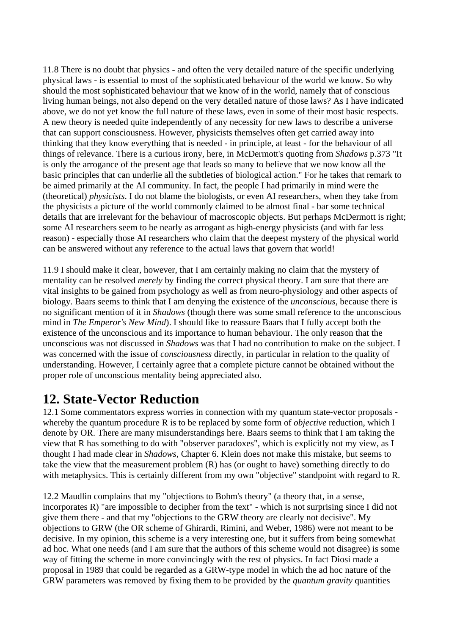11.8 There is no doubt that physics - and often the very detailed nature of the specific underlying physical laws - is essential to most of the sophisticated behaviour of the world we know. So why should the most sophisticated behaviour that we know of in the world, namely that of conscious living human beings, not also depend on the very detailed nature of those laws? As I have indicated above, we do not yet know the full nature of these laws, even in some of their most basic respects. A new theory is needed quite independently of any necessity for new laws to describe a universe that can support consciousness. However, physicists themselves often get carried away into thinking that they know everything that is needed - in principle, at least - for the behaviour of all things of relevance. There is a curious irony, here, in McDermott's quoting from *Shadows* p.373 "It is only the arrogance of the present age that leads so many to believe that we now know all the basic principles that can underlie all the subtleties of biological action." For he takes that remark to be aimed primarily at the AI community. In fact, the people I had primarily in mind were the (theoretical) *physicists*. I do not blame the biologists, or even AI researchers, when they take from the physicists a picture of the world commonly claimed to be almost final - bar some technical details that are irrelevant for the behaviour of macroscopic objects. But perhaps McDermott is right; some AI researchers seem to be nearly as arrogant as high-energy physicists (and with far less reason) - especially those AI researchers who claim that the deepest mystery of the physical world can be answered without any reference to the actual laws that govern that world!

11.9 I should make it clear, however, that I am certainly making no claim that the mystery of mentality can be resolved *merely* by finding the correct physical theory. I am sure that there are vital insights to be gained from psychology as well as from neuro-physiology and other aspects of biology. Baars seems to think that I am denying the existence of the *unconscious*, because there is no significant mention of it in *Shadows* (though there was some small reference to the unconscious mind in *The Emperor's New Mind*). I should like to reassure Baars that I fully accept both the existence of the unconscious and its importance to human behaviour. The only reason that the unconscious was not discussed in *Shadows* was that I had no contribution to make on the subject. I was concerned with the issue of *consciousness* directly, in particular in relation to the quality of understanding. However, I certainly agree that a complete picture cannot be obtained without the proper role of unconscious mentality being appreciated also.

#### **12. State-Vector Reduction**

12.1 Some commentators express worries in connection with my quantum state-vector proposals whereby the quantum procedure R is to be replaced by some form of *objective* reduction, which I denote by OR. There are many misunderstandings here. Baars seems to think that I am taking the view that R has something to do with "observer paradoxes", which is explicitly not my view, as I thought I had made clear in *Shadows*, Chapter 6. Klein does not make this mistake, but seems to take the view that the measurement problem (R) has (or ought to have) something directly to do with metaphysics. This is certainly different from my own "objective" standpoint with regard to R.

12.2 Maudlin complains that my "objections to Bohm's theory" (a theory that, in a sense, incorporates R) "are impossible to decipher from the text" - which is not surprising since I did not give them there - and that my "objections to the GRW theory are clearly not decisive". My objections to GRW (the OR scheme of Ghirardi, Rimini, and Weber, 1986) were not meant to be decisive. In my opinion, this scheme is a very interesting one, but it suffers from being somewhat ad hoc. What one needs (and I am sure that the authors of this scheme would not disagree) is some way of fitting the scheme in more convincingly with the rest of physics. In fact Diosi made a proposal in 1989 that could be regarded as a GRW-type model in which the ad hoc nature of the GRW parameters was removed by fixing them to be provided by the *quantum gravity* quantities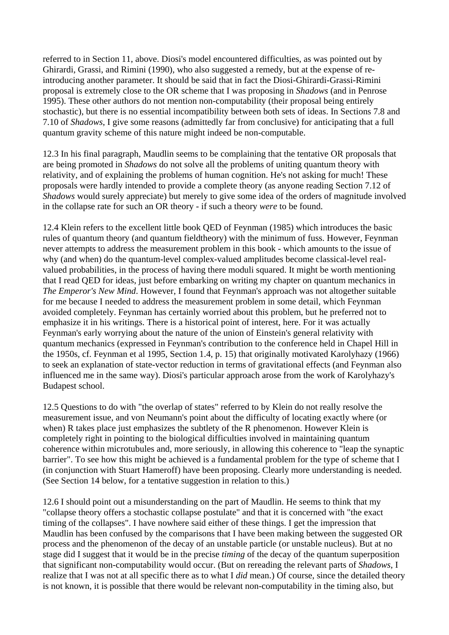referred to in Section 11, above. Diosi's model encountered difficulties, as was pointed out by Ghirardi, Grassi, and Rimini (1990), who also suggested a remedy, but at the expense of reintroducing another parameter. It should be said that in fact the Diosi-Ghirardi-Grassi-Rimini proposal is extremely close to the OR scheme that I was proposing in *Shadows* (and in Penrose 1995). These other authors do not mention non-computability (their proposal being entirely stochastic), but there is no essential incompatibility between both sets of ideas. In Sections 7.8 and 7.10 of *Shadows*, I give some reasons (admittedly far from conclusive) for anticipating that a full quantum gravity scheme of this nature might indeed be non-computable.

12.3 In his final paragraph, Maudlin seems to be complaining that the tentative OR proposals that are being promoted in *Shadows* do not solve all the problems of uniting quantum theory with relativity, and of explaining the problems of human cognition. He's not asking for much! These proposals were hardly intended to provide a complete theory (as anyone reading Section 7.12 of *Shadows* would surely appreciate) but merely to give some idea of the orders of magnitude involved in the collapse rate for such an OR theory - if such a theory *were* to be found.

12.4 Klein refers to the excellent little book QED of Feynman (1985) which introduces the basic rules of quantum theory (and quantum fieldtheory) with the minimum of fuss. However, Feynman never attempts to address the measurement problem in this book - which amounts to the issue of why (and when) do the quantum-level complex-valued amplitudes become classical-level realvalued probabilities, in the process of having there moduli squared. It might be worth mentioning that I read QED for ideas, just before embarking on writing my chapter on quantum mechanics in *The Emperor's New Mind*. However, I found that Feynman's approach was not altogether suitable for me because I needed to address the measurement problem in some detail, which Feynman avoided completely. Feynman has certainly worried about this problem, but he preferred not to emphasize it in his writings. There is a historical point of interest, here. For it was actually Feynman's early worrying about the nature of the union of Einstein's general relativity with quantum mechanics (expressed in Feynman's contribution to the conference held in Chapel Hill in the 1950s, cf. Feynman et al 1995, Section 1.4, p. 15) that originally motivated Karolyhazy (1966) to seek an explanation of state-vector reduction in terms of gravitational effects (and Feynman also influenced me in the same way). Diosi's particular approach arose from the work of Karolyhazy's Budapest school.

12.5 Questions to do with "the overlap of states" referred to by Klein do not really resolve the measurement issue, and von Neumann's point about the difficulty of locating exactly where (or when) R takes place just emphasizes the subtlety of the R phenomenon. However Klein is completely right in pointing to the biological difficulties involved in maintaining quantum coherence within microtubules and, more seriously, in allowing this coherence to "leap the synaptic barrier". To see how this might be achieved is a fundamental problem for the type of scheme that I (in conjunction with Stuart Hameroff) have been proposing. Clearly more understanding is needed. (See Section 14 below, for a tentative suggestion in relation to this.)

12.6 I should point out a misunderstanding on the part of Maudlin. He seems to think that my "collapse theory offers a stochastic collapse postulate" and that it is concerned with "the exact timing of the collapses". I have nowhere said either of these things. I get the impression that Maudlin has been confused by the comparisons that I have been making between the suggested OR process and the phenomenon of the decay of an unstable particle (or unstable nucleus). But at no stage did I suggest that it would be in the precise *timing* of the decay of the quantum superposition that significant non-computability would occur. (But on rereading the relevant parts of *Shadows*, I realize that I was not at all specific there as to what I *did* mean.) Of course, since the detailed theory is not known, it is possible that there would be relevant non-computability in the timing also, but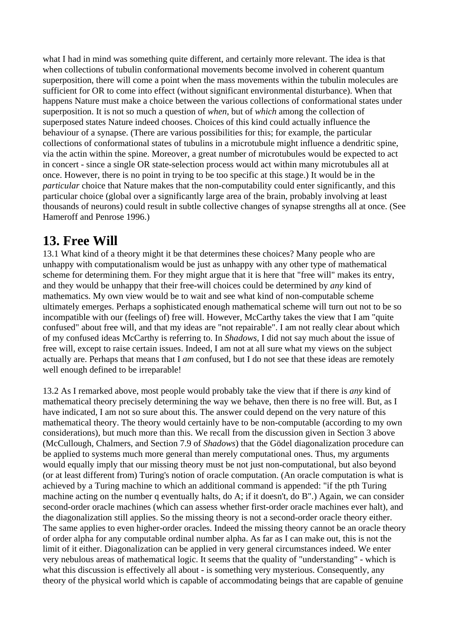what I had in mind was something quite different, and certainly more relevant. The idea is that when collections of tubulin conformational movements become involved in coherent quantum superposition, there will come a point when the mass movements within the tubulin molecules are sufficient for OR to come into effect (without significant environmental disturbance). When that happens Nature must make a choice between the various collections of conformational states under superposition. It is not so much a question of *when*, but of *which* among the collection of superposed states Nature indeed chooses. Choices of this kind could actually influence the behaviour of a synapse. (There are various possibilities for this; for example, the particular collections of conformational states of tubulins in a microtubule might influence a dendritic spine, via the actin within the spine. Moreover, a great number of microtubules would be expected to act in concert - since a single OR state-selection process would act within many microtubules all at once. However, there is no point in trying to be too specific at this stage.) It would be in the *particular* choice that Nature makes that the non-computability could enter significantly, and this particular choice (global over a significantly large area of the brain, probably involving at least thousands of neurons) could result in subtle collective changes of synapse strengths all at once. (See Hameroff and Penrose 1996.)

#### **13. Free Will**

13.1 What kind of a theory might it be that determines these choices? Many people who are unhappy with computationalism would be just as unhappy with any other type of mathematical scheme for determining them. For they might argue that it is here that "free will" makes its entry, and they would be unhappy that their free-will choices could be determined by *any* kind of mathematics. My own view would be to wait and see what kind of non-computable scheme ultimately emerges. Perhaps a sophisticated enough mathematical scheme will turn out not to be so incompatible with our (feelings of) free will. However, McCarthy takes the view that I am "quite confused" about free will, and that my ideas are "not repairable". I am not really clear about which of my confused ideas McCarthy is referring to. In *Shadows*, I did not say much about the issue of free will, except to raise certain issues. Indeed, I am not at all sure what my views on the subject actually are. Perhaps that means that I *am* confused, but I do not see that these ideas are remotely well enough defined to be irreparable!

13.2 As I remarked above, most people would probably take the view that if there is *any* kind of mathematical theory precisely determining the way we behave, then there is no free will. But, as I have indicated, I am not so sure about this. The answer could depend on the very nature of this mathematical theory. The theory would certainly have to be non-computable (according to my own considerations), but much more than this. We recall from the discussion given in Section 3 above (McCullough, Chalmers, and Section 7.9 of *Shadows*) that the Gödel diagonalization procedure can be applied to systems much more general than merely computational ones. Thus, my arguments would equally imply that our missing theory must be not just non-computational, but also beyond (or at least different from) Turing's notion of oracle computation. (An oracle computation is what is achieved by a Turing machine to which an additional command is appended: "if the pth Turing machine acting on the number q eventually halts, do A; if it doesn't, do B".) Again, we can consider second-order oracle machines (which can assess whether first-order oracle machines ever halt), and the diagonalization still applies. So the missing theory is not a second-order oracle theory either. The same applies to even higher-order oracles. Indeed the missing theory cannot be an oracle theory of order alpha for any computable ordinal number alpha. As far as I can make out, this is not the limit of it either. Diagonalization can be applied in very general circumstances indeed. We enter very nebulous areas of mathematical logic. It seems that the quality of "understanding" - which is what this discussion is effectively all about - is something very mysterious. Consequently, any theory of the physical world which is capable of accommodating beings that are capable of genuine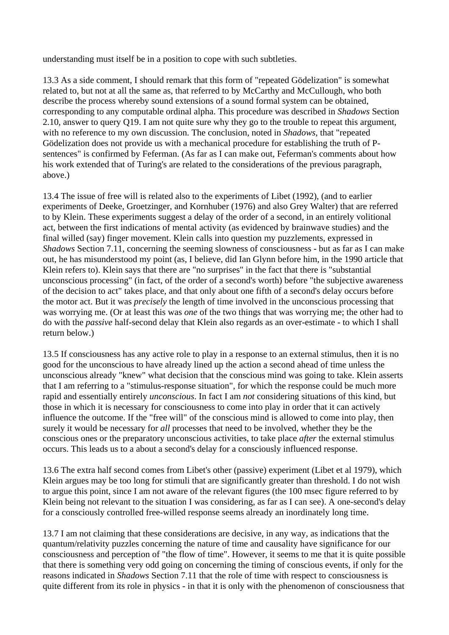understanding must itself be in a position to cope with such subtleties.

13.3 As a side comment, I should remark that this form of "repeated Gödelization" is somewhat related to, but not at all the same as, that referred to by McCarthy and McCullough, who both describe the process whereby sound extensions of a sound formal system can be obtained, corresponding to any computable ordinal alpha. This procedure was described in *Shadows* Section 2.10, answer to query Q19. I am not quite sure why they go to the trouble to repeat this argument, with no reference to my own discussion. The conclusion, noted in *Shadows*, that "repeated Gödelization does not provide us with a mechanical procedure for establishing the truth of Psentences" is confirmed by Feferman. (As far as I can make out, Feferman's comments about how his work extended that of Turing's are related to the considerations of the previous paragraph, above.)

13.4 The issue of free will is related also to the experiments of Libet (1992), (and to earlier experiments of Deeke, Groetzinger, and Kornhuber (1976) and also Grey Walter) that are referred to by Klein. These experiments suggest a delay of the order of a second, in an entirely volitional act, between the first indications of mental activity (as evidenced by brainwave studies) and the final willed (say) finger movement. Klein calls into question my puzzlements, expressed in *Shadows* Section 7.11, concerning the seeming slowness of consciousness - but as far as I can make out, he has misunderstood my point (as, I believe, did Ian Glynn before him, in the 1990 article that Klein refers to). Klein says that there are "no surprises" in the fact that there is "substantial unconscious processing" (in fact, of the order of a second's worth) before "the subjective awareness of the decision to act" takes place, and that only about one fifth of a second's delay occurs before the motor act. But it was *precisely* the length of time involved in the unconscious processing that was worrying me. (Or at least this was *one* of the two things that was worrying me; the other had to do with the *passive* half-second delay that Klein also regards as an over-estimate - to which I shall return below.)

13.5 If consciousness has any active role to play in a response to an external stimulus, then it is no good for the unconscious to have already lined up the action a second ahead of time unless the unconscious already "knew" what decision that the conscious mind was going to take. Klein asserts that I am referring to a "stimulus-response situation", for which the response could be much more rapid and essentially entirely *unconscious*. In fact I am *not* considering situations of this kind, but those in which it is necessary for consciousness to come into play in order that it can actively influence the outcome. If the "free will" of the conscious mind is allowed to come into play, then surely it would be necessary for *all* processes that need to be involved, whether they be the conscious ones or the preparatory unconscious activities, to take place *after* the external stimulus occurs. This leads us to a about a second's delay for a consciously influenced response.

13.6 The extra half second comes from Libet's other (passive) experiment (Libet et al 1979), which Klein argues may be too long for stimuli that are significantly greater than threshold. I do not wish to argue this point, since I am not aware of the relevant figures (the 100 msec figure referred to by Klein being not relevant to the situation I was considering, as far as I can see). A one-second's delay for a consciously controlled free-willed response seems already an inordinately long time.

13.7 I am not claiming that these considerations are decisive, in any way, as indications that the quantum/relativity puzzles concerning the nature of time and causality have significance for our consciousness and perception of "the flow of time". However, it seems to me that it is quite possible that there is something very odd going on concerning the timing of conscious events, if only for the reasons indicated in *Shadows* Section 7.11 that the role of time with respect to consciousness is quite different from its role in physics - in that it is only with the phenomenon of consciousness that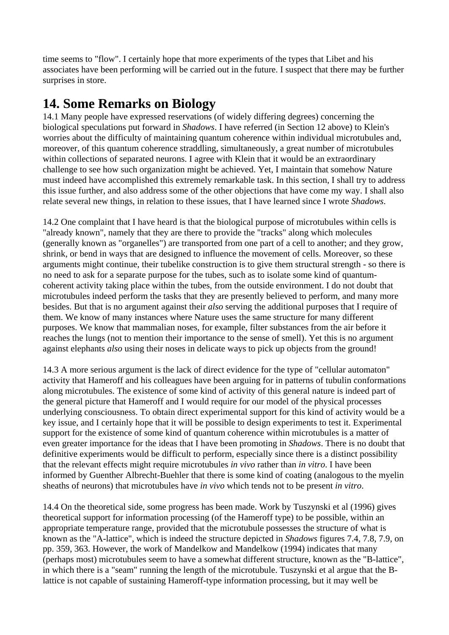time seems to "flow". I certainly hope that more experiments of the types that Libet and his associates have been performing will be carried out in the future. I suspect that there may be further surprises in store.

# **14. Some Remarks on Biology**

14.1 Many people have expressed reservations (of widely differing degrees) concerning the biological speculations put forward in *Shadows*. I have referred (in Section 12 above) to Klein's worries about the difficulty of maintaining quantum coherence within individual microtubules and, moreover, of this quantum coherence straddling, simultaneously, a great number of microtubules within collections of separated neurons. I agree with Klein that it would be an extraordinary challenge to see how such organization might be achieved. Yet, I maintain that somehow Nature must indeed have accomplished this extremely remarkable task. In this section, I shall try to address this issue further, and also address some of the other objections that have come my way. I shall also relate several new things, in relation to these issues, that I have learned since I wrote *Shadows*.

14.2 One complaint that I have heard is that the biological purpose of microtubules within cells is "already known", namely that they are there to provide the "tracks" along which molecules (generally known as "organelles") are transported from one part of a cell to another; and they grow, shrink, or bend in ways that are designed to influence the movement of cells. Moreover, so these arguments might continue, their tubelike construction is to give them structural strength - so there is no need to ask for a separate purpose for the tubes, such as to isolate some kind of quantumcoherent activity taking place within the tubes, from the outside environment. I do not doubt that microtubules indeed perform the tasks that they are presently believed to perform, and many more besides. But that is no argument against their *also* serving the additional purposes that I require of them. We know of many instances where Nature uses the same structure for many different purposes. We know that mammalian noses, for example, filter substances from the air before it reaches the lungs (not to mention their importance to the sense of smell). Yet this is no argument against elephants *also* using their noses in delicate ways to pick up objects from the ground!

14.3 A more serious argument is the lack of direct evidence for the type of "cellular automaton" activity that Hameroff and his colleagues have been arguing for in patterns of tubulin conformations along microtubules. The existence of some kind of activity of this general nature is indeed part of the general picture that Hameroff and I would require for our model of the physical processes underlying consciousness. To obtain direct experimental support for this kind of activity would be a key issue, and I certainly hope that it will be possible to design experiments to test it. Experimental support for the existence of some kind of quantum coherence within microtubules is a matter of even greater importance for the ideas that I have been promoting in *Shadows*. There is no doubt that definitive experiments would be difficult to perform, especially since there is a distinct possibility that the relevant effects might require microtubules *in vivo* rather than *in vitro*. I have been informed by Guenther Albrecht-Buehler that there is some kind of coating (analogous to the myelin sheaths of neurons) that microtubules have *in vivo* which tends not to be present *in vitro*.

14.4 On the theoretical side, some progress has been made. Work by Tuszynski et al (1996) gives theoretical support for information processing (of the Hameroff type) to be possible, within an appropriate temperature range, provided that the microtubule possesses the structure of what is known as the "A-lattice", which is indeed the structure depicted in *Shadows* figures 7.4, 7.8, 7.9, on pp. 359, 363. However, the work of Mandelkow and Mandelkow (1994) indicates that many (perhaps most) microtubules seem to have a somewhat different structure, known as the "B-lattice", in which there is a "seam" running the length of the microtubule. Tuszynski et al argue that the Blattice is not capable of sustaining Hameroff-type information processing, but it may well be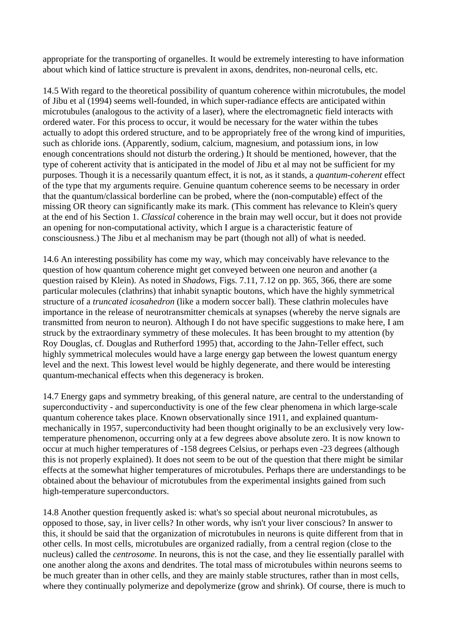appropriate for the transporting of organelles. It would be extremely interesting to have information about which kind of lattice structure is prevalent in axons, dendrites, non-neuronal cells, etc.

14.5 With regard to the theoretical possibility of quantum coherence within microtubules, the model of Jibu et al (1994) seems well-founded, in which super-radiance effects are anticipated within microtubules (analogous to the activity of a laser), where the electromagnetic field interacts with ordered water. For this process to occur, it would be necessary for the water within the tubes actually to adopt this ordered structure, and to be appropriately free of the wrong kind of impurities, such as chloride ions. (Apparently, sodium, calcium, magnesium, and potassium ions, in low enough concentrations should not disturb the ordering.) It should be mentioned, however, that the type of coherent activity that is anticipated in the model of Jibu et al may not be sufficient for my purposes. Though it is a necessarily quantum effect, it is not, as it stands, a *quantum-coherent* effect of the type that my arguments require. Genuine quantum coherence seems to be necessary in order that the quantum/classical borderline can be probed, where the (non-computable) effect of the missing OR theory can significantly make its mark. (This comment has relevance to Klein's query at the end of his Section 1. *Classical* coherence in the brain may well occur, but it does not provide an opening for non-computational activity, which I argue is a characteristic feature of consciousness.) The Jibu et al mechanism may be part (though not all) of what is needed.

14.6 An interesting possibility has come my way, which may conceivably have relevance to the question of how quantum coherence might get conveyed between one neuron and another (a question raised by Klein). As noted in *Shadows*, Figs. 7.11, 7.12 on pp. 365, 366, there are some particular molecules (clathrins) that inhabit synaptic boutons, which have the highly symmetrical structure of a *truncated icosahedron* (like a modern soccer ball). These clathrin molecules have importance in the release of neurotransmitter chemicals at synapses (whereby the nerve signals are transmitted from neuron to neuron). Although I do not have specific suggestions to make here, I am struck by the extraordinary symmetry of these molecules. It has been brought to my attention (by Roy Douglas, cf. Douglas and Rutherford 1995) that, according to the Jahn-Teller effect, such highly symmetrical molecules would have a large energy gap between the lowest quantum energy level and the next. This lowest level would be highly degenerate, and there would be interesting quantum-mechanical effects when this degeneracy is broken.

14.7 Energy gaps and symmetry breaking, of this general nature, are central to the understanding of superconductivity - and superconductivity is one of the few clear phenomena in which large-scale quantum coherence takes place. Known observationally since 1911, and explained quantummechanically in 1957, superconductivity had been thought originally to be an exclusively very lowtemperature phenomenon, occurring only at a few degrees above absolute zero. It is now known to occur at much higher temperatures of -158 degrees Celsius, or perhaps even -23 degrees (although this is not properly explained). It does not seem to be out of the question that there might be similar effects at the somewhat higher temperatures of microtubules. Perhaps there are understandings to be obtained about the behaviour of microtubules from the experimental insights gained from such high-temperature superconductors.

14.8 Another question frequently asked is: what's so special about neuronal microtubules, as opposed to those, say, in liver cells? In other words, why isn't your liver conscious? In answer to this, it should be said that the organization of microtubules in neurons is quite different from that in other cells. In most cells, microtubules are organized radially, from a central region (close to the nucleus) called the *centrosome*. In neurons, this is not the case, and they lie essentially parallel with one another along the axons and dendrites. The total mass of microtubules within neurons seems to be much greater than in other cells, and they are mainly stable structures, rather than in most cells, where they continually polymerize and depolymerize (grow and shrink). Of course, there is much to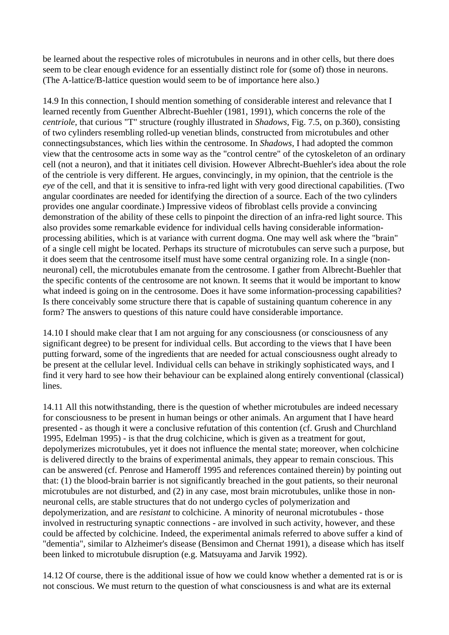be learned about the respective roles of microtubules in neurons and in other cells, but there does seem to be clear enough evidence for an essentially distinct role for (some of) those in neurons. (The A-lattice/B-lattice question would seem to be of importance here also.)

14.9 In this connection, I should mention something of considerable interest and relevance that I learned recently from Guenther Albrecht-Buehler (1981, 1991), which concerns the role of the *centriole*, that curious "T" structure (roughly illustrated in *Shadows*, Fig. 7.5, on p.360), consisting of two cylinders resembling rolled-up venetian blinds, constructed from microtubules and other connectingsubstances, which lies within the centrosome. In *Shadows*, I had adopted the common view that the centrosome acts in some way as the "control centre" of the cytoskeleton of an ordinary cell (not a neuron), and that it initiates cell division. However Albrecht-Buehler's idea about the role of the centriole is very different. He argues, convincingly, in my opinion, that the centriole is the *eye* of the cell, and that it is sensitive to infra-red light with very good directional capabilities. (Two angular coordinates are needed for identifying the direction of a source. Each of the two cylinders provides one angular coordinate.) Impressive videos of fibroblast cells provide a convincing demonstration of the ability of these cells to pinpoint the direction of an infra-red light source. This also provides some remarkable evidence for individual cells having considerable informationprocessing abilities, which is at variance with current dogma. One may well ask where the "brain" of a single cell might be located. Perhaps its structure of microtubules can serve such a purpose, but it does seem that the centrosome itself must have some central organizing role. In a single (nonneuronal) cell, the microtubules emanate from the centrosome. I gather from Albrecht-Buehler that the specific contents of the centrosome are not known. It seems that it would be important to know what indeed is going on in the centrosome. Does it have some information-processing capabilities? Is there conceivably some structure there that is capable of sustaining quantum coherence in any form? The answers to questions of this nature could have considerable importance.

14.10 I should make clear that I am not arguing for any consciousness (or consciousness of any significant degree) to be present for individual cells. But according to the views that I have been putting forward, some of the ingredients that are needed for actual consciousness ought already to be present at the cellular level. Individual cells can behave in strikingly sophisticated ways, and I find it very hard to see how their behaviour can be explained along entirely conventional (classical) lines.

14.11 All this notwithstanding, there is the question of whether microtubules are indeed necessary for consciousness to be present in human beings or other animals. An argument that I have heard presented - as though it were a conclusive refutation of this contention (cf. Grush and Churchland 1995, Edelman 1995) - is that the drug colchicine, which is given as a treatment for gout, depolymerizes microtubules, yet it does not influence the mental state; moreover, when colchicine is delivered directly to the brains of experimental animals, they appear to remain conscious. This can be answered (cf. Penrose and Hameroff 1995 and references contained therein) by pointing out that: (1) the blood-brain barrier is not significantly breached in the gout patients, so their neuronal microtubules are not disturbed, and (2) in any case, most brain microtubules, unlike those in nonneuronal cells, are stable structures that do not undergo cycles of polymerization and depolymerization, and are *resistant* to colchicine. A minority of neuronal microtubules - those involved in restructuring synaptic connections - are involved in such activity, however, and these could be affected by colchicine. Indeed, the experimental animals referred to above suffer a kind of "dementia", similar to Alzheimer's disease (Bensimon and Chernat 1991), a disease which has itself been linked to microtubule disruption (e.g. Matsuyama and Jarvik 1992).

14.12 Of course, there is the additional issue of how we could know whether a demented rat is or is not conscious. We must return to the question of what consciousness is and what are its external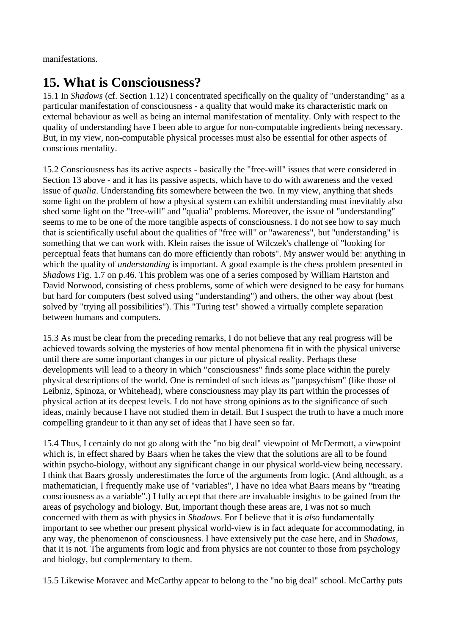manifestations.

#### **15. What is Consciousness?**

15.1 In *Shadows* (cf. Section 1.12) I concentrated specifically on the quality of "understanding" as a particular manifestation of consciousness - a quality that would make its characteristic mark on external behaviour as well as being an internal manifestation of mentality. Only with respect to the quality of understanding have I been able to argue for non-computable ingredients being necessary. But, in my view, non-computable physical processes must also be essential for other aspects of conscious mentality.

15.2 Consciousness has its active aspects - basically the "free-will" issues that were considered in Section 13 above - and it has its passive aspects, which have to do with awareness and the vexed issue of *qualia*. Understanding fits somewhere between the two. In my view, anything that sheds some light on the problem of how a physical system can exhibit understanding must inevitably also shed some light on the "free-will" and "qualia" problems. Moreover, the issue of "understanding" seems to me to be one of the more tangible aspects of consciousness. I do not see how to say much that is scientifically useful about the qualities of "free will" or "awareness", but "understanding" is something that we can work with. Klein raises the issue of Wilczek's challenge of "looking for perceptual feats that humans can do more efficiently than robots". My answer would be: anything in which the quality of *understanding* is important. A good example is the chess problem presented in *Shadows* Fig. 1.7 on p.46. This problem was one of a series composed by William Hartston and David Norwood, consisting of chess problems, some of which were designed to be easy for humans but hard for computers (best solved using "understanding") and others, the other way about (best solved by "trying all possibilities"). This "Turing test" showed a virtually complete separation between humans and computers.

15.3 As must be clear from the preceding remarks, I do not believe that any real progress will be achieved towards solving the mysteries of how mental phenomena fit in with the physical universe until there are some important changes in our picture of physical reality. Perhaps these developments will lead to a theory in which "consciousness" finds some place within the purely physical descriptions of the world. One is reminded of such ideas as "panpsychism" (like those of Leibniz, Spinoza, or Whitehead), where consciousness may play its part within the processes of physical action at its deepest levels. I do not have strong opinions as to the significance of such ideas, mainly because I have not studied them in detail. But I suspect the truth to have a much more compelling grandeur to it than any set of ideas that I have seen so far.

15.4 Thus, I certainly do not go along with the "no big deal" viewpoint of McDermott, a viewpoint which is, in effect shared by Baars when he takes the view that the solutions are all to be found within psycho-biology, without any significant change in our physical world-view being necessary. I think that Baars grossly underestimates the force of the arguments from logic. (And although, as a mathematician, I frequently make use of "variables", I have no idea what Baars means by "treating consciousness as a variable".) I fully accept that there are invaluable insights to be gained from the areas of psychology and biology. But, important though these areas are, I was not so much concerned with them as with physics in *Shadows*. For I believe that it is *also* fundamentally important to see whether our present physical world-view is in fact adequate for accommodating, in any way, the phenomenon of consciousness. I have extensively put the case here, and in *Shadows*, that it is not. The arguments from logic and from physics are not counter to those from psychology and biology, but complementary to them.

15.5 Likewise Moravec and McCarthy appear to belong to the "no big deal" school. McCarthy puts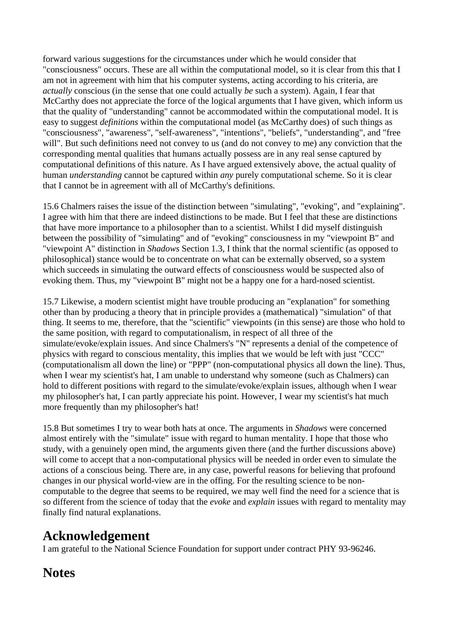forward various suggestions for the circumstances under which he would consider that "consciousness" occurs. These are all within the computational model, so it is clear from this that I am not in agreement with him that his computer systems, acting according to his criteria, are *actually* conscious (in the sense that one could actually *be* such a system). Again, I fear that McCarthy does not appreciate the force of the logical arguments that I have given, which inform us that the quality of "understanding" cannot be accommodated within the computational model. It is easy to suggest *definitions* within the computational model (as McCarthy does) of such things as "consciousness", "awareness", "self-awareness", "intentions", "beliefs", "understanding", and "free will". But such definitions need not convey to us (and do not convey to me) any conviction that the corresponding mental qualities that humans actually possess are in any real sense captured by computational definitions of this nature. As I have argued extensively above, the actual quality of human *understanding* cannot be captured within *any* purely computational scheme. So it is clear that I cannot be in agreement with all of McCarthy's definitions.

15.6 Chalmers raises the issue of the distinction between "simulating", "evoking", and "explaining". I agree with him that there are indeed distinctions to be made. But I feel that these are distinctions that have more importance to a philosopher than to a scientist. Whilst I did myself distinguish between the possibility of "simulating" and of "evoking" consciousness in my "viewpoint B" and "viewpoint A" distinction in *Shadows* Section 1.3, I think that the normal scientific (as opposed to philosophical) stance would be to concentrate on what can be externally observed, so a system which succeeds in simulating the outward effects of consciousness would be suspected also of evoking them. Thus, my "viewpoint B" might not be a happy one for a hard-nosed scientist.

15.7 Likewise, a modern scientist might have trouble producing an "explanation" for something other than by producing a theory that in principle provides a (mathematical) "simulation" of that thing. It seems to me, therefore, that the "scientific" viewpoints (in this sense) are those who hold to the same position, with regard to computationalism, in respect of all three of the simulate/evoke/explain issues. And since Chalmers's "N" represents a denial of the competence of physics with regard to conscious mentality, this implies that we would be left with just "CCC" (computationalism all down the line) or "PPP" (non-computational physics all down the line). Thus, when I wear my scientist's hat, I am unable to understand why someone (such as Chalmers) can hold to different positions with regard to the simulate/evoke/explain issues, although when I wear my philosopher's hat, I can partly appreciate his point. However, I wear my scientist's hat much more frequently than my philosopher's hat!

15.8 But sometimes I try to wear both hats at once. The arguments in *Shadows* were concerned almost entirely with the "simulate" issue with regard to human mentality. I hope that those who study, with a genuinely open mind, the arguments given there (and the further discussions above) will come to accept that a non-computational physics will be needed in order even to simulate the actions of a conscious being. There are, in any case, powerful reasons for believing that profound changes in our physical world-view are in the offing. For the resulting science to be noncomputable to the degree that seems to be required, we may well find the need for a science that is so different from the science of today that the *evoke* and *explain* issues with regard to mentality may finally find natural explanations.

# **Acknowledgement**

I am grateful to the National Science Foundation for support under contract PHY 93-96246.

# **Notes**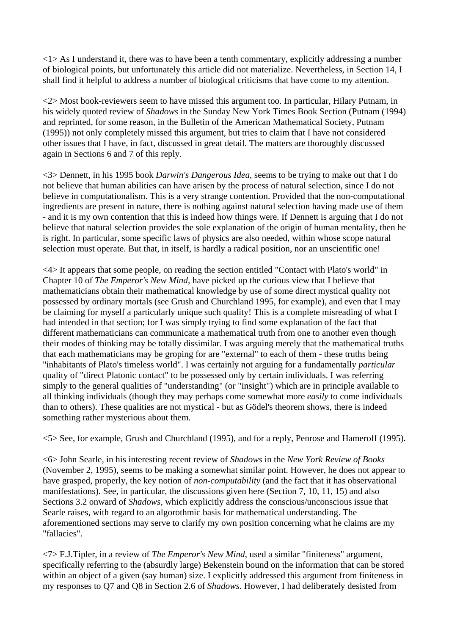<1> As I understand it, there was to have been a tenth commentary, explicitly addressing a number of biological points, but unfortunately this article did not materialize. Nevertheless, in Section 14, I shall find it helpful to address a number of biological criticisms that have come to my attention.

<2> Most book-reviewers seem to have missed this argument too. In particular, Hilary Putnam, in his widely quoted review of *Shadows* in the Sunday New York Times Book Section (Putnam (1994) and reprinted, for some reason, in the Bulletin of the American Mathematical Society, Putnam (1995)) not only completely missed this argument, but tries to claim that I have not considered other issues that I have, in fact, discussed in great detail. The matters are thoroughly discussed again in Sections 6 and 7 of this reply.

<3> Dennett, in his 1995 book *Darwin's Dangerous Idea*, seems to be trying to make out that I do not believe that human abilities can have arisen by the process of natural selection, since I do not believe in computationalism. This is a very strange contention. Provided that the non-computational ingredients are present in nature, there is nothing against natural selection having made use of them - and it is my own contention that this is indeed how things were. If Dennett is arguing that I do not believe that natural selection provides the sole explanation of the origin of human mentality, then he is right. In particular, some specific laws of physics are also needed, within whose scope natural selection must operate. But that, in itself, is hardly a radical position, nor an unscientific one!

<4> It appears that some people, on reading the section entitled "Contact with Plato's world" in Chapter 10 of *The Emperor's New Mind*, have picked up the curious view that I believe that mathematicians obtain their mathematical knowledge by use of some direct mystical quality not possessed by ordinary mortals (see Grush and Churchland 1995, for example), and even that I may be claiming for myself a particularly unique such quality! This is a complete misreading of what I had intended in that section; for I was simply trying to find some explanation of the fact that different mathematicians can communicate a mathematical truth from one to another even though their modes of thinking may be totally dissimilar. I was arguing merely that the mathematical truths that each mathematicians may be groping for are "external" to each of them - these truths being "inhabitants of Plato's timeless world". I was certainly not arguing for a fundamentally *particular* quality of "direct Platonic contact" to be possessed only by certain individuals. I was referring simply to the general qualities of "understanding" (or "insight") which are in principle available to all thinking individuals (though they may perhaps come somewhat more *easily* to come individuals than to others). These qualities are not mystical - but as Gödel's theorem shows, there is indeed something rather mysterious about them.

<5> See, for example, Grush and Churchland (1995), and for a reply, Penrose and Hameroff (1995).

<6> John Searle, in his interesting recent review of *Shadows* in the *New York Review of Books* (November 2, 1995), seems to be making a somewhat similar point. However, he does not appear to have grasped, properly, the key notion of *non-computability* (and the fact that it has observational manifestations). See, in particular, the discussions given here (Section 7, 10, 11, 15) and also Sections 3.2 onward of *Shadows*, which explicitly address the conscious/unconscious issue that Searle raises, with regard to an algorothmic basis for mathematical understanding. The aforementioned sections may serve to clarify my own position concerning what he claims are my "fallacies".

<7> F.J.Tipler, in a review of *The Emperor's New Mind*, used a similar "finiteness" argument, specifically referring to the (absurdly large) Bekenstein bound on the information that can be stored within an object of a given (say human) size. I explicitly addressed this argument from finiteness in my responses to Q7 and Q8 in Section 2.6 of *Shadows*. However, I had deliberately desisted from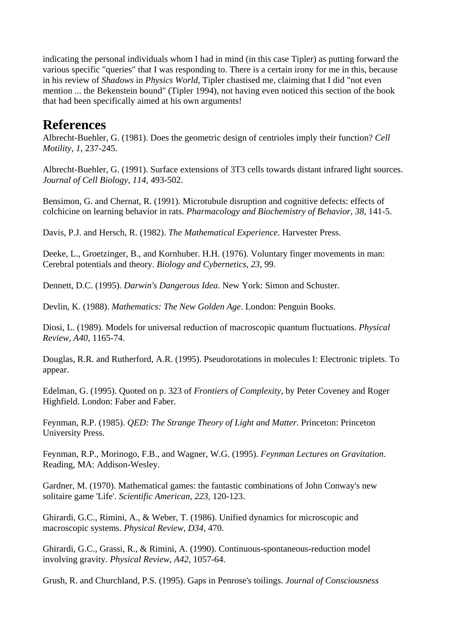indicating the personal individuals whom I had in mind (in this case Tipler) as putting forward the various specific "queries" that I was responding to. There is a certain irony for me in this, because in his review of *Shadows* in *Physics World*, Tipler chastised me, claiming that I did "not even mention ... the Bekenstein bound" (Tipler 1994), not having even noticed this section of the book that had been specifically aimed at his own arguments!

#### **References**

Albrecht-Buehler, G. (1981). Does the geometric design of centrioles imply their function? *Cell Motility, 1,* 237-245.

Albrecht-Buehler, G. (1991). Surface extensions of 3T3 cells towards distant infrared light sources. *Journal of Cell Biology, 114,* 493-502.

Bensimon, G. and Chernat, R. (1991). Microtubule disruption and cognitive defects: effects of colchicine on learning behavior in rats. *Pharmacology and Biochemistry of Behavior, 38,* 141-5.

Davis, P.J. and Hersch, R. (1982). *The Mathematical Experience*. Harvester Press.

Deeke, L., Groetzinger, B., and Kornhuber. H.H. (1976). Voluntary finger movements in man: Cerebral potentials and theory. *Biology and Cybernetics, 23,* 99.

Dennett, D.C. (1995). *Darwin's Dangerous Idea*. New York: Simon and Schuster.

Devlin, K. (1988). *Mathematics: The New Golden Age*. London: Penguin Books.

Diosi, L. (1989). Models for universal reduction of macroscopic quantum fluctuations. *Physical Review, A40,* 1165-74.

Douglas, R.R. and Rutherford, A.R. (1995). Pseudorotations in molecules I: Electronic triplets. To appear.

Edelman, G. (1995). Quoted on p. 323 of *Frontiers of Complexity*, by Peter Coveney and Roger Highfield. London: Faber and Faber.

Feynman, R.P. (1985). *QED: The Strange Theory of Light and Matter*. Princeton: Princeton University Press.

Feynman, R.P., Morinogo, F.B., and Wagner, W.G. (1995). *Feynman Lectures on Gravitation*. Reading, MA: Addison-Wesley.

Gardner, M. (1970). Mathematical games: the fantastic combinations of John Conway's new solitaire game 'Life'. *Scientific American, 223,* 120-123.

Ghirardi, G.C., Rimini, A., & Weber, T. (1986). Unified dynamics for microscopic and macroscopic systems. *Physical Review, D34,* 470.

Ghirardi, G.C., Grassi, R., & Rimini, A. (1990). Continuous-spontaneous-reduction model involving gravity. *Physical Review, A42,* 1057-64.

Grush, R. and Churchland, P.S. (1995). Gaps in Penrose's toilings. *Journal of Consciousness*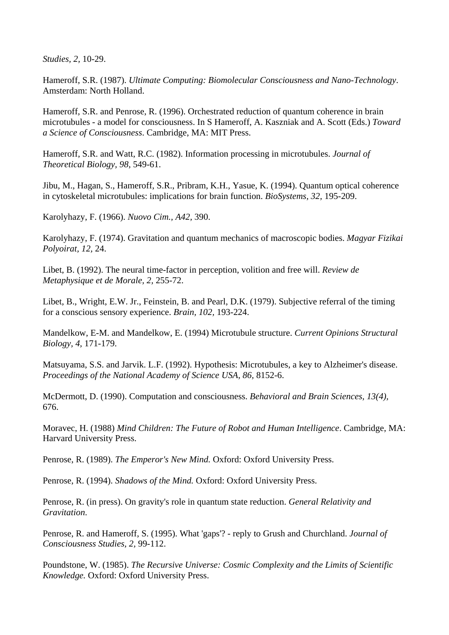*Studies, 2,* 10-29.

Hameroff, S.R. (1987). *Ultimate Computing: Biomolecular Consciousness and Nano-Technology*. Amsterdam: North Holland.

Hameroff, S.R. and Penrose, R. (1996). Orchestrated reduction of quantum coherence in brain microtubules - a model for consciousness. In S Hameroff, A. Kaszniak and A. Scott (Eds.) *Toward a Science of Consciousness*. Cambridge, MA: MIT Press.

Hameroff, S.R. and Watt, R.C. (1982). Information processing in microtubules. *Journal of Theoretical Biology, 98,* 549-61.

Jibu, M., Hagan, S., Hameroff, S.R., Pribram, K.H., Yasue, K. (1994). Quantum optical coherence in cytoskeletal microtubules: implications for brain function. *BioSystems, 32,* 195-209.

Karolyhazy, F. (1966). *Nuovo Cim., A42,* 390.

Karolyhazy, F. (1974). Gravitation and quantum mechanics of macroscopic bodies. *Magyar Fizikai Polyoirat, 12,* 24.

Libet, B. (1992). The neural time-factor in perception, volition and free will. *Review de Metaphysique et de Morale, 2,* 255-72.

Libet, B., Wright, E.W. Jr., Feinstein, B. and Pearl, D.K. (1979). Subjective referral of the timing for a conscious sensory experience. *Brain, 102,* 193-224.

Mandelkow, E-M. and Mandelkow, E. (1994) Microtubule structure. *Current Opinions Structural Biology, 4,* 171-179.

Matsuyama, S.S. and Jarvik. L.F. (1992). Hypothesis: Microtubules, a key to Alzheimer's disease. *Proceedings of the National Academy of Science USA, 86,* 8152-6.

McDermott, D. (1990). Computation and consciousness. *Behavioral and Brain Sciences, 13(4),* 676.

Moravec, H. (1988) *Mind Children: The Future of Robot and Human Intelligence*. Cambridge, MA: Harvard University Press.

Penrose, R. (1989). *The Emperor's New Mind.* Oxford: Oxford University Press.

Penrose, R. (1994). *Shadows of the Mind.* Oxford: Oxford University Press.

Penrose, R. (in press). On gravity's role in quantum state reduction. *General Relativity and Gravitation*.

Penrose, R. and Hameroff, S. (1995). What 'gaps'? - reply to Grush and Churchland. *Journal of Consciousness Studies, 2,* 99-112.

Poundstone, W. (1985). *The Recursive Universe: Cosmic Complexity and the Limits of Scientific Knowledge.* Oxford: Oxford University Press.